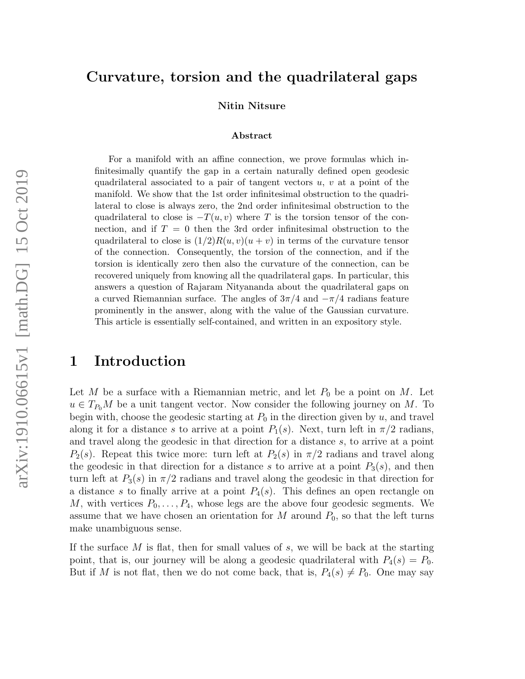### Curvature, torsion and the quadrilateral gaps

Nitin Nitsure

#### Abstract

For a manifold with an affine connection, we prove formulas which infinitesimally quantify the gap in a certain naturally defined open geodesic quadrilateral associated to a pair of tangent vectors  $u, v$  at a point of the manifold. We show that the 1st order infinitesimal obstruction to the quadrilateral to close is always zero, the 2nd order infinitesimal obstruction to the quadrilateral to close is  $-T(u, v)$  where T is the torsion tensor of the connection, and if  $T = 0$  then the 3rd order infinitesimal obstruction to the quadrilateral to close is  $(1/2)R(u, v)(u + v)$  in terms of the curvature tensor of the connection. Consequently, the torsion of the connection, and if the torsion is identically zero then also the curvature of the connection, can be recovered uniquely from knowing all the quadrilateral gaps. In particular, this answers a question of Rajaram Nityananda about the quadrilateral gaps on a curved Riemannian surface. The angles of  $3\pi/4$  and  $-\pi/4$  radians feature prominently in the answer, along with the value of the Gaussian curvature. This article is essentially self-contained, and written in an expository style.

# 1 Introduction

Let M be a surface with a Riemannian metric, and let  $P_0$  be a point on M. Let  $u \in T_{P_0}M$  be a unit tangent vector. Now consider the following journey on M. To begin with, choose the geodesic starting at  $P_0$  in the direction given by u, and travel along it for a distance s to arrive at a point  $P_1(s)$ . Next, turn left in  $\pi/2$  radians, and travel along the geodesic in that direction for a distance s, to arrive at a point  $P_2(s)$ . Repeat this twice more: turn left at  $P_2(s)$  in  $\pi/2$  radians and travel along the geodesic in that direction for a distance s to arrive at a point  $P_3(s)$ , and then turn left at  $P_3(s)$  in  $\pi/2$  radians and travel along the geodesic in that direction for a distance s to finally arrive at a point  $P_4(s)$ . This defines an open rectangle on M, with vertices  $P_0, \ldots, P_4$ , whose legs are the above four geodesic segments. We assume that we have chosen an orientation for  $M$  around  $P_0$ , so that the left turns make unambiguous sense.

If the surface  $M$  is flat, then for small values of  $s$ , we will be back at the starting point, that is, our journey will be along a geodesic quadrilateral with  $P_4(s) = P_0$ . But if M is not flat, then we do not come back, that is,  $P_4(s) \neq P_0$ . One may say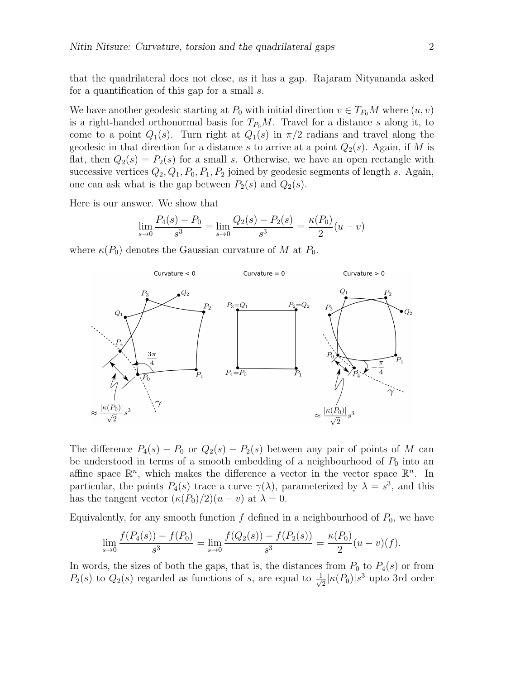that the quadrilateral does not close, as it has a gap. Rajaram Nityananda asked for a quantification of this gap for a small s.

We have another geodesic starting at  $P_0$  with initial direction  $v \in T_{P_0}M$  where  $(u, v)$ is a right-handed orthonormal basis for  $T_{P_0}M$ . Travel for a distance s along it, to come to a point  $Q_1(s)$ . Turn right at  $Q_1(s)$  in  $\pi/2$  radians and travel along the geodesic in that direction for a distance s to arrive at a point  $Q_2(s)$ . Again, if M is flat, then  $Q_2(s) = P_2(s)$  for a small s. Otherwise, we have an open rectangle with successive vertices  $Q_2, Q_1, P_0, P_1, P_2$  joined by geodesic segments of length s. Again, one can ask what is the gap between  $P_2(s)$  and  $Q_2(s)$ .

Here is our answer. We show that

$$
\lim_{s \to 0} \frac{P_4(s) - P_0}{s^3} = \lim_{s \to 0} \frac{Q_2(s) - P_2(s)}{s^3} = \frac{\kappa(P_0)}{2}(u - v)
$$

where  $\kappa(P_0)$  denotes the Gaussian curvature of M at  $P_0$ .



The difference  $P_4(s) - P_0$  or  $Q_2(s) - P_2(s)$  between any pair of points of M can be understood in terms of a smooth embedding of a neighbourhood of  $P_0$  into an affine space  $\mathbb{R}^n$ , which makes the difference a vector in the vector space  $\mathbb{R}^n$ . In particular, the points  $P_4(s)$  trace a curve  $\gamma(\lambda)$ , parameterized by  $\lambda = s^3$ , and this has the tangent vector  $(\kappa(P_0)/2)(u-v)$  at  $\lambda = 0$ .

Equivalently, for any smooth function  $f$  defined in a neighbourhood of  $P_0$ , we have

$$
\lim_{s \to 0} \frac{f(P_4(s)) - f(P_0)}{s^3} = \lim_{s \to 0} \frac{f(Q_2(s)) - f(P_2(s))}{s^3} = \frac{\kappa(P_0)}{2}(u - v)(f).
$$

In words, the sizes of both the gaps, that is, the distances from  $P_0$  to  $P_4(s)$  or from  $P_2(s)$  to  $Q_2(s)$  regarded as functions of s, are equal to  $\frac{1}{\sqrt{s}}$  $\frac{1}{2}|\kappa(P_0)|s^3$  upto 3rd order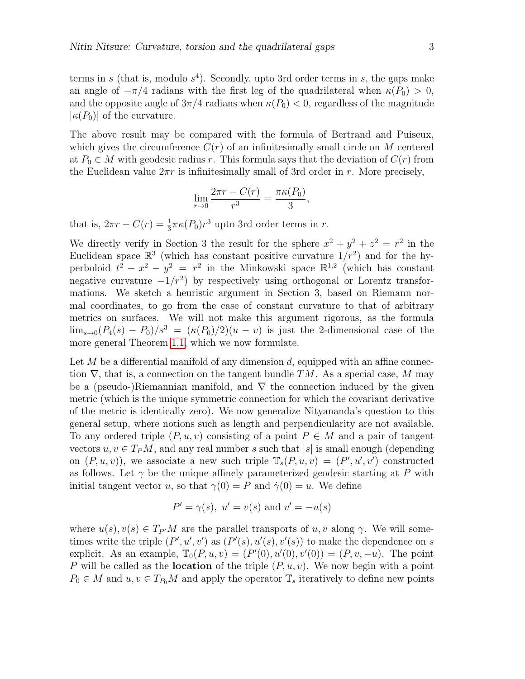terms in s (that is, modulo  $s<sup>4</sup>$ ). Secondly, upto 3rd order terms in s, the gaps make an angle of  $-\pi/4$  radians with the first leg of the quadrilateral when  $\kappa(P_0) > 0$ , and the opposite angle of  $3\pi/4$  radians when  $\kappa(P_0) < 0$ , regardless of the magnitude  $|\kappa(P_0)|$  of the curvature.

The above result may be compared with the formula of Bertrand and Puiseux, which gives the circumference  $C(r)$  of an infinitesimally small circle on M centered at  $P_0 \in M$  with geodesic radius r. This formula says that the deviation of  $C(r)$  from the Euclidean value  $2\pi r$  is infinitesimally small of 3rd order in r. More precisely,

$$
\lim_{r \to 0} \frac{2\pi r - C(r)}{r^3} = \frac{\pi \kappa(P_0)}{3},
$$

that is,  $2\pi r - C(r) = \frac{1}{3}\pi \kappa (P_0)r^3$  upto 3rd order terms in r.

We directly verify in Section 3 the result for the sphere  $x^2 + y^2 + z^2 = r^2$  in the Euclidean space  $\mathbb{R}^3$  (which has constant positive curvature  $1/r^2$ ) and for the hyperboloid  $t^2 - x^2 - y^2 = r^2$  in the Minkowski space  $\mathbb{R}^{1,2}$  (which has constant negative curvature  $-1/r^2$  by respectively using orthogonal or Lorentz transformations. We sketch a heuristic argument in Section 3, based on Riemann normal coordinates, to go from the case of constant curvature to that of arbitrary metrics on surfaces. We will not make this argument rigorous, as the formula  $\lim_{s\to 0}(P_4(s) - P_0)/s^3 = (\kappa(P_0)/2)(u - v)$  is just the 2-dimensional case of the more general Theorem [1.1,](#page-3-0) which we now formulate.

Let  $M$  be a differential manifold of any dimension  $d$ , equipped with an affine connection  $\nabla$ , that is, a connection on the tangent bundle TM. As a special case, M may be a (pseudo-)Riemannian manifold, and  $\nabla$  the connection induced by the given metric (which is the unique symmetric connection for which the covariant derivative of the metric is identically zero). We now generalize Nityananda's question to this general setup, where notions such as length and perpendicularity are not available. To any ordered triple  $(P, u, v)$  consisting of a point  $P \in M$  and a pair of tangent vectors  $u, v \in T_P M$ , and any real number s such that |s| is small enough (depending on  $(P, u, v)$ , we associate a new such triple  $\mathbb{T}_{s}(P, u, v) = (P', u', v')$  constructed as follows. Let  $\gamma$  be the unique affinely parameterized geodesic starting at P with initial tangent vector u, so that  $\gamma(0) = P$  and  $\dot{\gamma}(0) = u$ . We define

$$
P' = \gamma(s), \ u' = v(s) \text{ and } v' = -u(s)
$$

where  $u(s), v(s) \in T_{P}M$  are the parallel transports of  $u, v$  along  $\gamma$ . We will sometimes write the triple  $(P', u', v')$  as  $(P'(s), u'(s), v'(s))$  to make the dependence on s explicit. As an example,  $\mathbb{T}_0(P, u, v) = (P'(0), u'(0), v'(0)) = (P, v, -u)$ . The point P will be called as the **location** of the triple  $(P, u, v)$ . We now begin with a point  $P_0 \in M$  and  $u, v \in T_{P_0}M$  and apply the operator  $\mathbb{T}_s$  iteratively to define new points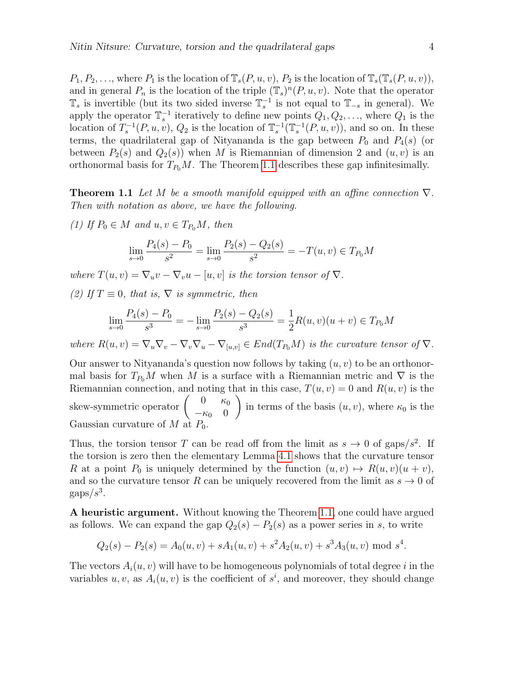$P_1, P_2, \ldots$ , where  $P_1$  is the location of  $\mathbb{T}_s(P, u, v), P_2$  is the location of  $\mathbb{T}_s(\mathbb{T}_s(P, u, v)),$ and in general  $P_n$  is the location of the triple  $(\mathbb{T}_s)^n(P, u, v)$ . Note that the operator  $\mathbb{T}_s$  is invertible (but its two sided inverse  $\mathbb{T}_s^{-1}$  is not equal to  $\mathbb{T}_{-s}$  in general). We apply the operator  $\mathbb{T}_s^{-1}$  iteratively to define new points  $Q_1, Q_2, \ldots$ , where  $Q_1$  is the location of  $T_s^{-1}(P, u, v), Q_2$  is the location of  $\mathbb{T}_s^{-1}(\mathbb{T}_s^{-1}(P, u, v))$ , and so on. In these terms, the quadrilateral gap of Nityananda is the gap between  $P_0$  and  $P_4(s)$  (or between  $P_2(s)$  and  $Q_2(s)$ ) when M is Riemannian of dimension 2 and  $(u, v)$  is an orthonormal basis for  $T_{P_0}M$ . The Theorem [1.1](#page-3-0) describes these gap infinitesimally.

<span id="page-3-0"></span>**Theorem 1.1** Let M be a smooth manifold equipped with an affine connection  $\nabla$ . Then with notation as above, we have the following.

(1) If  $P_0 \in M$  and  $u, v \in T_{P_0}M$ , then

$$
\lim_{s \to 0} \frac{P_4(s) - P_0}{s^2} = \lim_{s \to 0} \frac{P_2(s) - Q_2(s)}{s^2} = -T(u, v) \in T_{P_0}M
$$

where  $T(u, v) = \nabla_u v - \nabla_v u - [u, v]$  is the torsion tensor of  $\nabla$ .

(2) If  $T \equiv 0$ , that is,  $\nabla$  is symmetric, then

$$
\lim_{s \to 0} \frac{P_4(s) - P_0}{s^3} = -\lim_{s \to 0} \frac{P_2(s) - Q_2(s)}{s^3} = \frac{1}{2}R(u, v)(u + v) \in T_{P_0}M
$$

where  $R(u, v) = \nabla_u \nabla_v - \nabla_v \nabla_u - \nabla_{[u, v]} \in End(T_{P_0}M)$  is the curvature tensor of  $\nabla$ .

Our answer to Nityananda's question now follows by taking  $(u, v)$  to be an orthonormal basis for  $T_{P_0}M$  when M is a surface with a Riemannian metric and  $\nabla$  is the Riemannian connection, and noting that in this case,  $T(u, v) = 0$  and  $R(u, v)$  is the skew-symmetric operator  $\begin{pmatrix} 0 & \kappa_0 \\ \kappa_0 & 0 \end{pmatrix}$  $-\kappa_0$  0  $\setminus$ in terms of the basis  $(u, v)$ , where  $\kappa_0$  is the Gaussian curvature of  $M$  at  $P_0$ .

Thus, the torsion tensor T can be read off from the limit as  $s \to 0$  of gaps/ $s^2$ . If the torsion is zero then the elementary Lemma [4.1](#page-16-0) shows that the curvature tensor R at a point  $P_0$  is uniquely determined by the function  $(u, v) \mapsto R(u, v)(u + v)$ , and so the curvature tensor R can be uniquely recovered from the limit as  $s \to 0$  of  $\text{gaps}/s^3$ .

A heuristic argument. Without knowing the Theorem [1.1,](#page-3-0) one could have argued as follows. We can expand the gap  $Q_2(s) - P_2(s)$  as a power series in s, to write

$$
Q_2(s) - P_2(s) = A_0(u, v) + sA_1(u, v) + s^2 A_2(u, v) + s^3 A_3(u, v) \mod s^4.
$$

The vectors  $A_i(u, v)$  will have to be homogeneous polynomials of total degree i in the variables  $u, v$ , as  $A_i(u, v)$  is the coefficient of  $s^i$ , and moreover, they should change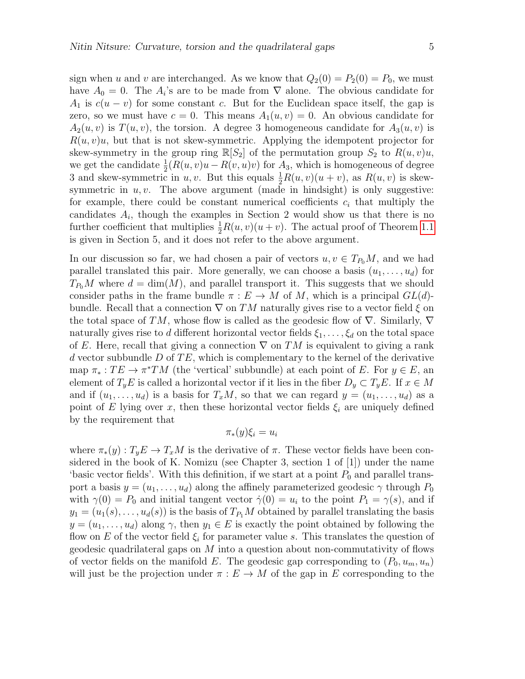sign when u and v are interchanged. As we know that  $Q_2(0) = P_2(0) = P_0$ , we must have  $A_0 = 0$ . The  $A_i$ 's are to be made from  $\nabla$  alone. The obvious candidate for  $A_1$  is  $c(u - v)$  for some constant c. But for the Euclidean space itself, the gap is zero, so we must have  $c = 0$ . This means  $A_1(u, v) = 0$ . An obvious candidate for  $A_2(u, v)$  is  $T(u, v)$ , the torsion. A degree 3 homogeneous candidate for  $A_3(u, v)$  is  $R(u, v)u$ , but that is not skew-symmetric. Applying the idempotent projector for skew-symmetry in the group ring  $\mathbb{R}[S_2]$  of the permutation group  $S_2$  to  $R(u, v)u$ , we get the candidate  $\frac{1}{2}(R(u, v)u - R(v, u)v)$  for  $A_3$ , which is homogeneous of degree 3 and skew-symmetric in u, v. But this equals  $\frac{1}{2}R(u, v)(u + v)$ , as  $R(u, v)$  is skewsymmetric in  $u, v$ . The above argument (made in hindsight) is only suggestive: for example, there could be constant numerical coefficients  $c_i$  that multiply the candidates  $A_i$ , though the examples in Section 2 would show us that there is no further coefficient that multiplies  $\frac{1}{2}R(u, v)(u + v)$ . The actual proof of Theorem [1.1](#page-3-0) is given in Section 5, and it does not refer to the above argument.

In our discussion so far, we had chosen a pair of vectors  $u, v \in T_{P_0}M$ , and we had parallel translated this pair. More generally, we can choose a basis  $(u_1, \ldots, u_d)$  for  $T_{P_0}M$  where  $d = \dim(M)$ , and parallel transport it. This suggests that we should consider paths in the frame bundle  $\pi : E \to M$  of M, which is a principal  $GL(d)$ bundle. Recall that a connection  $\nabla$  on TM naturally gives rise to a vector field  $\xi$  on the total space of TM, whose flow is called as the geodesic flow of  $\nabla$ . Similarly,  $\nabla$ naturally gives rise to d different horizontal vector fields  $\xi_1, \ldots, \xi_d$  on the total space of E. Here, recall that giving a connection  $\nabla$  on TM is equivalent to giving a rank d vector subbundle  $D$  of  $TE$ , which is complementary to the kernel of the derivative map  $\pi_* : TE \to \pi^*TM$  (the 'vertical' subbundle) at each point of E. For  $y \in E$ , and element of  $T_yE$  is called a horizontal vector if it lies in the fiber  $D_y\subset T_yE$ . If  $x\in M$ and if  $(u_1, \ldots, u_d)$  is a basis for  $T_xM$ , so that we can regard  $y = (u_1, \ldots, u_d)$  as a point of E lying over x, then these horizontal vector fields  $\xi_i$  are uniquely defined by the requirement that

$$
\pi_*(y)\xi_i=u_i
$$

where  $\pi_*(y) : T_y E \to T_x M$  is the derivative of  $\pi$ . These vector fields have been considered in the book of K. Nomizu (see Chapter 3, section 1 of [1]) under the name 'basic vector fields'. With this definition, if we start at a point  $P_0$  and parallel transport a basis  $y = (u_1, \ldots, u_d)$  along the affinely parameterized geodesic  $\gamma$  through  $P_0$ with  $\gamma(0) = P_0$  and initial tangent vector  $\dot{\gamma}(0) = u_i$  to the point  $P_1 = \gamma(s)$ , and if  $y_1 = (u_1(s), \ldots, u_d(s))$  is the basis of  $T_{P_1}M$  obtained by parallel translating the basis  $y = (u_1, \ldots, u_d)$  along  $\gamma$ , then  $y_1 \in E$  is exactly the point obtained by following the flow on E of the vector field  $\xi_i$  for parameter value s. This translates the question of geodesic quadrilateral gaps on M into a question about non-commutativity of flows of vector fields on the manifold E. The geodesic gap corresponding to  $(P_0, u_m, u_n)$ will just be the projection under  $\pi : E \to M$  of the gap in E corresponding to the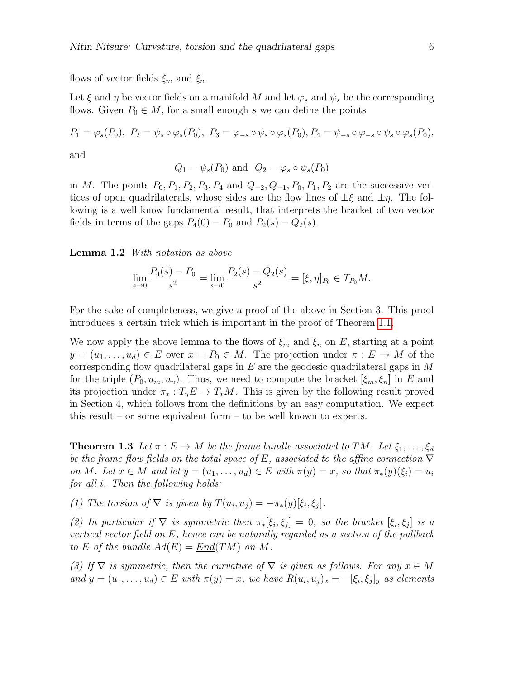flows of vector fields  $\xi_m$  and  $\xi_n$ .

Let  $\xi$  and  $\eta$  be vector fields on a manifold M and let  $\varphi_s$  and  $\psi_s$  be the corresponding flows. Given  $P_0 \in M$ , for a small enough s we can define the points

$$
P_1 = \varphi_s(P_0), \ P_2 = \psi_s \circ \varphi_s(P_0), \ P_3 = \varphi_{-s} \circ \psi_s \circ \varphi_s(P_0), \ P_4 = \psi_{-s} \circ \varphi_{-s} \circ \psi_s \circ \varphi_s(P_0),
$$

and

$$
Q_1 = \psi_s(P_0)
$$
 and  $Q_2 = \varphi_s \circ \psi_s(P_0)$ 

in M. The points  $P_0$ ,  $P_1$ ,  $P_2$ ,  $P_3$ ,  $P_4$  and  $Q_{-2}$ ,  $Q_{-1}$ ,  $P_0$ ,  $P_1$ ,  $P_2$  are the successive vertices of open quadrilaterals, whose sides are the flow lines of  $\pm \xi$  and  $\pm \eta$ . The following is a well know fundamental result, that interprets the bracket of two vector fields in terms of the gaps  $P_4(0) - P_0$  and  $P_2(s) - Q_2(s)$ .

<span id="page-5-0"></span>Lemma 1.2 With notation as above

$$
\lim_{s \to 0} \frac{P_4(s) - P_0}{s^2} = \lim_{s \to 0} \frac{P_2(s) - Q_2(s)}{s^2} = [\xi, \eta]_{P_0} \in T_{P_0}M.
$$

For the sake of completeness, we give a proof of the above in Section 3. This proof introduces a certain trick which is important in the proof of Theorem [1.1.](#page-3-0)

We now apply the above lemma to the flows of  $\xi_m$  and  $\xi_n$  on E, starting at a point  $y = (u_1, \ldots, u_d) \in E$  over  $x = P_0 \in M$ . The projection under  $\pi : E \to M$  of the corresponding flow quadrilateral gaps in  $E$  are the geodesic quadrilateral gaps in  $M$ for the triple  $(P_0, u_m, u_n)$ . Thus, we need to compute the bracket  $[\xi_m, \xi_n]$  in E and its projection under  $\pi_* : T_y E \to T_x M$ . This is given by the following result proved in Section 4, which follows from the definitions by an easy computation. We expect this result – or some equivalent form – to be well known to experts.

<span id="page-5-1"></span>**Theorem 1.3** Let  $\pi : E \to M$  be the frame bundle associated to TM. Let  $\xi_1, \ldots, \xi_d$ be the frame flow fields on the total space of E, associated to the affine connection  $\nabla$ on M. Let  $x \in M$  and let  $y = (u_1, \ldots, u_d) \in E$  with  $\pi(y) = x$ , so that  $\pi_*(y)(\xi_i) = u_i$ for all i. Then the following holds:

(1) The torsion of  $\nabla$  is given by  $T(u_i, u_j) = -\pi_*(y)[\xi_i, \xi_j].$ 

(2) In particular if  $\nabla$  is symmetric then  $\pi_*[\xi_i, \xi_j] = 0$ , so the bracket  $[\xi_i, \xi_j]$  is a vertical vector field on  $E$ , hence can be naturally regarded as a section of the pullback to E of the bundle  $Ad(E) = End(TM)$  on M.

(3) If  $\nabla$  is symmetric, then the curvature of  $\nabla$  is given as follows. For any  $x \in M$ and  $y = (u_1, \ldots, u_d) \in E$  with  $\pi(y) = x$ , we have  $R(u_i, u_j)_x = -[\xi_i, \xi_j]_y$  as elements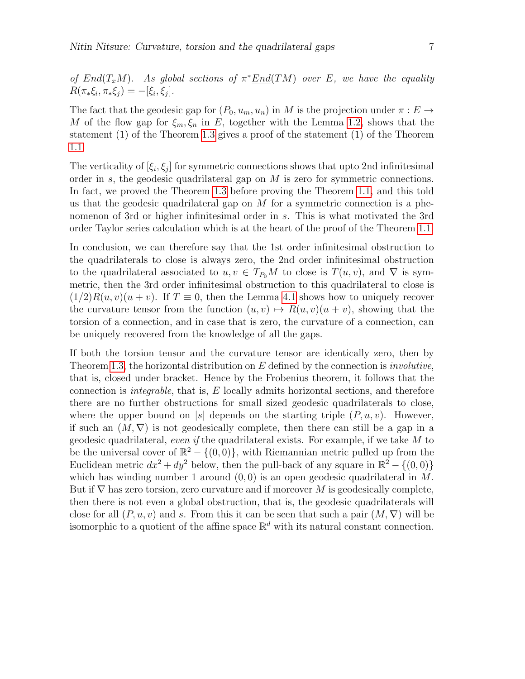of  $End(T_xM)$ . As global sections of  $\pi^* \underline{End}(TM)$  over E, we have the equality  $R(\pi_*\xi_i, \pi_*\xi_j) = -[\xi_i, \xi_j].$ 

The fact that the geodesic gap for  $(P_0, u_m, u_n)$  in M is the projection under  $\pi : E \to$ M of the flow gap for  $\xi_m, \xi_n$  in E, together with the Lemma [1.2,](#page-5-0) shows that the statement (1) of the Theorem [1.3](#page-5-1) gives a proof of the statement (1) of the Theorem [1.1.](#page-3-0)

The verticality of  $[\xi_i, \xi_j]$  for symmetric connections shows that upto 2nd infinitesimal order in s, the geodesic quadrilateral gap on M is zero for symmetric connections. In fact, we proved the Theorem [1.3](#page-5-1) before proving the Theorem [1.1,](#page-3-0) and this told us that the geodesic quadrilateral gap on  $M$  for a symmetric connection is a phenomenon of 3rd or higher infinitesimal order in s. This is what motivated the 3rd order Taylor series calculation which is at the heart of the proof of the Theorem [1.1.](#page-3-0)

In conclusion, we can therefore say that the 1st order infinitesimal obstruction to the quadrilaterals to close is always zero, the 2nd order infinitesimal obstruction to the quadrilateral associated to  $u, v \in T_{P_0}M$  to close is  $T(u, v)$ , and  $\nabla$  is symmetric, then the 3rd order infinitesimal obstruction to this quadrilateral to close is  $(1/2)R(u, v)(u + v)$ . If  $T \equiv 0$ , then the Lemma [4.1](#page-16-0) shows how to uniquely recover the curvature tensor from the function  $(u, v) \mapsto R(u, v)(u + v)$ , showing that the torsion of a connection, and in case that is zero, the curvature of a connection, can be uniquely recovered from the knowledge of all the gaps.

If both the torsion tensor and the curvature tensor are identically zero, then by Theorem [1.3,](#page-5-1) the horizontal distribution on  $E$  defined by the connection is *involutive*, that is, closed under bracket. Hence by the Frobenius theorem, it follows that the connection is *integrable*, that is,  $E$  locally admits horizontal sections, and therefore there are no further obstructions for small sized geodesic quadrilaterals to close, where the upper bound on |s| depends on the starting triple  $(P, u, v)$ . However, if such an  $(M, \nabla)$  is not geodesically complete, then there can still be a gap in a geodesic quadrilateral, even if the quadrilateral exists. For example, if we take  $M$  to be the universal cover of  $\mathbb{R}^2 - \{(0,0)\}\$ , with Riemannian metric pulled up from the Euclidean metric  $dx^2 + dy^2$  below, then the pull-back of any square in  $\mathbb{R}^2 - \{(0,0)\}\$ which has winding number 1 around  $(0, 0)$  is an open geodesic quadrilateral in M. But if  $\nabla$  has zero torsion, zero curvature and if moreover M is geodesically complete, then there is not even a global obstruction, that is, the geodesic quadrilaterals will close for all  $(P, u, v)$  and s. From this it can be seen that such a pair  $(M, \nabla)$  will be isomorphic to a quotient of the affine space  $\mathbb{R}^d$  with its natural constant connection.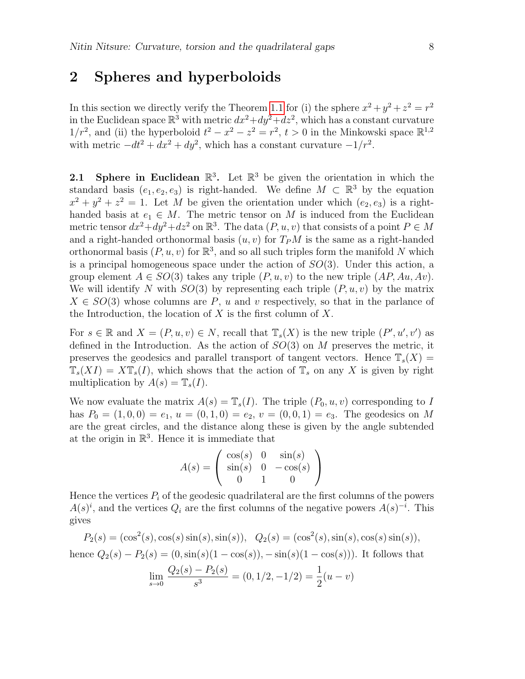### 2 Spheres and hyperboloids

In this section we directly verify the Theorem [1.1](#page-3-0) for (i) the sphere  $x^2 + y^2 + z^2 = r^2$ in the Euclidean space  $\mathbb{R}^3$  with metric  $dx^2+dy^2+dz^2$ , which has a constant curvature  $1/r^2$ , and (ii) the hyperboloid  $t^2 - x^2 - z^2 = r^2$ ,  $t > 0$  in the Minkowski space  $\mathbb{R}^{1,2}$ with metric  $-dt^2 + dx^2 + dy^2$ , which has a constant curvature  $-1/r^2$ .

**2.1** Sphere in Euclidean  $\mathbb{R}^3$ . Let  $\mathbb{R}^3$  be given the orientation in which the standard basis  $(e_1, e_2, e_3)$  is right-handed. We define  $M \subset \mathbb{R}^3$  by the equation  $x^2 + y^2 + z^2 = 1$ . Let M be given the orientation under which  $(e_2, e_3)$  is a righthanded basis at  $e_1 \in M$ . The metric tensor on M is induced from the Euclidean metric tensor  $dx^2+dy^2+dz^2$  on  $\mathbb{R}^3$ . The data  $(P, u, v)$  that consists of a point  $P \in M$ and a right-handed orthonormal basis  $(u, v)$  for  $T_PM$  is the same as a right-handed orthonormal basis  $(P, u, v)$  for  $\mathbb{R}^3$ , and so all such triples form the manifold N which is a principal homogeneous space under the action of  $SO(3)$ . Under this action, a group element  $A \in SO(3)$  takes any triple  $(P, u, v)$  to the new triple  $(AP, Au, Av)$ . We will identify N with  $SO(3)$  by representing each triple  $(P, u, v)$  by the matrix  $X \in SO(3)$  whose columns are P, u and v respectively, so that in the parlance of the Introduction, the location of  $X$  is the first column of  $X$ .

For  $s \in \mathbb{R}$  and  $X = (P, u, v) \in N$ , recall that  $\mathbb{T}_{s}(X)$  is the new triple  $(P', u', v')$  as defined in the Introduction. As the action of  $SO(3)$  on M preserves the metric, it preserves the geodesics and parallel transport of tangent vectors. Hence  $\mathbb{T}_{s}(X)$  =  $\mathbb{T}_{s}(XI) = X\mathbb{T}_{s}(I)$ , which shows that the action of  $\mathbb{T}_{s}$  on any X is given by right multiplication by  $A(s) = \mathbb{T}_{s}(I)$ .

We now evaluate the matrix  $A(s) = \mathbb{T}_s(I)$ . The triple  $(P_0, u, v)$  corresponding to I has  $P_0 = (1, 0, 0) = e_1, u = (0, 1, 0) = e_2, v = (0, 0, 1) = e_3$ . The geodesics on M are the great circles, and the distance along these is given by the angle subtended at the origin in  $\mathbb{R}^3$ . Hence it is immediate that

$$
A(s) = \begin{pmatrix} \cos(s) & 0 & \sin(s) \\ \sin(s) & 0 & -\cos(s) \\ 0 & 1 & 0 \end{pmatrix}
$$

Hence the vertices  $P_i$  of the geodesic quadrilateral are the first columns of the powers  $A(s)^i$ , and the vertices  $Q_i$  are the first columns of the negative powers  $A(s)^{-i}$ . This gives

$$
P_2(s) = (\cos^2(s), \cos(s)\sin(s), \sin(s)), \quad Q_2(s) = (\cos^2(s), \sin(s), \cos(s)\sin(s)),
$$
  
hence  $Q_2(s) - P_2(s) = (0, \sin(s)(1 - \cos(s)), -\sin(s)(1 - \cos(s))).$  It follows that  

$$
\lim_{s \to 0} \frac{Q_2(s) - P_2(s)}{s^3} = (0, 1/2, -1/2) = \frac{1}{2}(u - v)
$$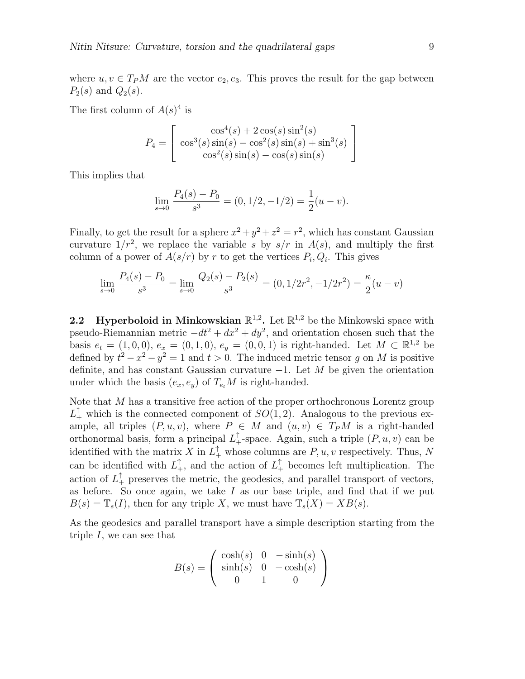where  $u, v \in T_P M$  are the vector  $e_2, e_3$ . This proves the result for the gap between  $P_2(s)$  and  $Q_2(s)$ .

The first column of  $A(s)^4$  is

$$
P_4 = \begin{bmatrix} \cos^4(s) + 2\cos(s)\sin^2(s) \\ \cos^3(s)\sin(s) - \cos^2(s)\sin(s) + \sin^3(s) \\ \cos^2(s)\sin(s) - \cos(s)\sin(s) \end{bmatrix}
$$

This implies that

$$
\lim_{s \to 0} \frac{P_4(s) - P_0}{s^3} = (0, 1/2, -1/2) = \frac{1}{2}(u - v).
$$

Finally, to get the result for a sphere  $x^2 + y^2 + z^2 = r^2$ , which has constant Gaussian curvature  $1/r^2$ , we replace the variable s by  $s/r$  in  $A(s)$ , and multiply the first column of a power of  $A(s/r)$  by r to get the vertices  $P_i, Q_i$ . This gives

$$
\lim_{s \to 0} \frac{P_4(s) - P_0}{s^3} = \lim_{s \to 0} \frac{Q_2(s) - P_2(s)}{s^3} = (0, 1/2r^2, -1/2r^2) = \frac{\kappa}{2}(u - v)
$$

2.2 Hyperboloid in Minkowskian  $\mathbb{R}^{1,2}$ . Let  $\mathbb{R}^{1,2}$  be the Minkowski space with pseudo-Riemannian metric  $-dt^2 + dx^2 + dy^2$ , and orientation chosen such that the basis  $e_t = (1, 0, 0), e_x = (0, 1, 0), e_y = (0, 0, 1)$  is right-handed. Let  $M \subset \mathbb{R}^{1,2}$  be defined by  $t^2 - x^2 - y^2 = 1$  and  $t > 0$ . The induced metric tensor g on M is positive definite, and has constant Gaussian curvature  $-1$ . Let M be given the orientation under which the basis  $(e_x, e_y)$  of  $T_{e_t}M$  is right-handed.

Note that M has a transitive free action of the proper orthochronous Lorentz group  $L_+^{\uparrow}$  which is the connected component of  $SO(1,2)$ . Analogous to the previous example, all triples  $(P, u, v)$ , where  $P \in M$  and  $(u, v) \in T_P M$  is a right-handed orthonormal basis, form a principal  $L_+^{\uparrow}$ -space. Again, such a triple  $(P, u, v)$  can be identified with the matrix X in  $L_+^{\uparrow}$  whose columns are  $P, u, v$  respectively. Thus, N can be identified with  $L_+^{\uparrow}$ , and the action of  $L_+^{\uparrow}$  becomes left multiplication. The action of  $L_+^{\uparrow}$  preserves the metric, the geodesics, and parallel transport of vectors, as before. So once again, we take  $I$  as our base triple, and find that if we put  $B(s) = \mathbb{T}_{s}(I)$ , then for any triple X, we must have  $\mathbb{T}_{s}(X) = XB(s)$ .

As the geodesics and parallel transport have a simple description starting from the triple I, we can see that

$$
B(s) = \begin{pmatrix} \cosh(s) & 0 & -\sinh(s) \\ \sinh(s) & 0 & -\cosh(s) \\ 0 & 1 & 0 \end{pmatrix}
$$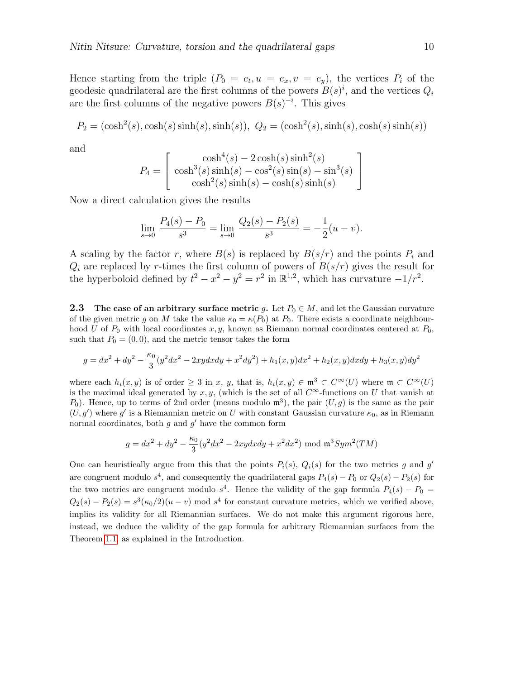Hence starting from the triple  $(P_0 = e_t, u = e_x, v = e_y)$ , the vertices  $P_i$  of the geodesic quadrilateral are the first columns of the powers  $B(s)^i$ , and the vertices  $Q_i$ are the first columns of the negative powers  $B(s)^{-i}$ . This gives

$$
P_2 = (\cosh^2(s), \cosh(s)\sinh(s), \sinh(s)), Q_2 = (\cosh^2(s), \sinh(s), \cosh(s)\sinh(s))
$$

and

$$
P_4 = \begin{bmatrix} \cosh^4(s) - 2\cosh(s)\sinh^2(s) \\ \cosh^3(s)\sinh(s) - \cos^2(s)\sin(s) - \sin^3(s) \\ \cosh^2(s)\sinh(s) - \cosh(s)\sinh(s) \end{bmatrix}
$$

Now a direct calculation gives the results

$$
\lim_{s \to 0} \frac{P_4(s) - P_0}{s^3} = \lim_{s \to 0} \frac{Q_2(s) - P_2(s)}{s^3} = -\frac{1}{2}(u - v).
$$

A scaling by the factor r, where  $B(s)$  is replaced by  $B(s/r)$  and the points  $P_i$  and  $Q_i$  are replaced by r-times the first column of powers of  $B(s/r)$  gives the result for the hyperboloid defined by  $t^2 - x^2 - y^2 = r^2$  in  $\mathbb{R}^{1,2}$ , which has curvature  $-1/r^2$ .

**2.3** The case of an arbitrary surface metric g. Let  $P_0 \in M$ , and let the Gaussian curvature of the given metric g on M take the value  $\kappa_0 = \kappa(P_0)$  at  $P_0$ . There exists a coordinate neighbourhood U of  $P_0$  with local coordinates x, y, known as Riemann normal coordinates centered at  $P_0$ , such that  $P_0 = (0, 0)$ , and the metric tensor takes the form

$$
g = dx^{2} + dy^{2} - \frac{\kappa_{0}}{3}(y^{2}dx^{2} - 2xydxdy + x^{2}dy^{2}) + h_{1}(x, y)dx^{2} + h_{2}(x, y)dxdy + h_{3}(x, y)dy^{2}
$$

where each  $h_i(x, y)$  is of order  $\geq 3$  in x, y, that is,  $h_i(x, y) \in \mathfrak{m}^3 \subset C^\infty(U)$  where  $\mathfrak{m} \subset C^\infty(U)$ is the maximal ideal generated by x, y, (which is the set of all  $C^{\infty}$ -functions on U that vanish at  $P_0$ ). Hence, up to terms of 2nd order (means modulo  $\mathfrak{m}^3$ ), the pair  $(U, g)$  is the same as the pair  $(U, g')$  where g' is a Riemannian metric on U with constant Gaussian curvature  $\kappa_0$ , as in Riemann normal coordinates, both  $g$  and  $g'$  have the common form

$$
g = dx^{2} + dy^{2} - \frac{\kappa_{0}}{3}(y^{2}dx^{2} - 2xydxdy + x^{2}dx^{2}) \text{ mod } \mathfrak{m}^{3}Sym^{2}(TM)
$$

One can heuristically argue from this that the points  $P_i(s)$ ,  $Q_i(s)$  for the two metrics g and g' are congruent modulo  $s^4$ , and consequently the quadrilateral gaps  $P_4(s) - P_0$  or  $Q_2(s) - P_2(s)$  for the two metrics are congruent modulo  $s^4$ . Hence the validity of the gap formula  $P_4(s) - P_0 =$  $Q_2(s) - P_2(s) = s^3(\kappa_0/2)(u - v)$  mod  $s^4$  for constant curvature metrics, which we verified above, implies its validity for all Riemannian surfaces. We do not make this argument rigorous here, instead, we deduce the validity of the gap formula for arbitrary Riemannian surfaces from the Theorem [1.1,](#page-3-0) as explained in the Introduction.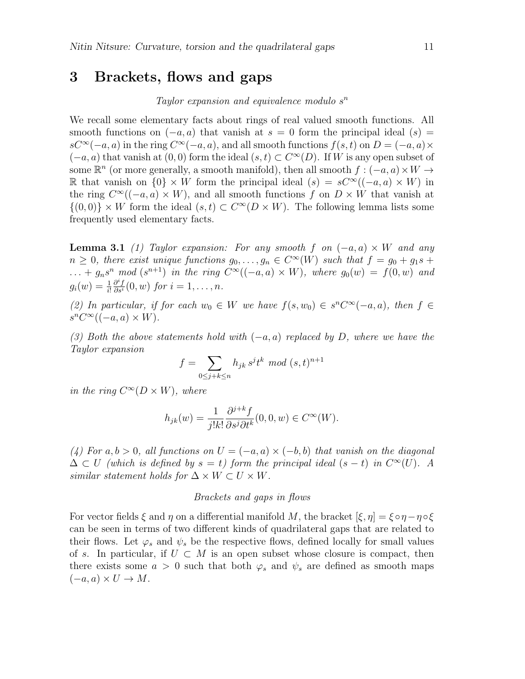# 3 Brackets, flows and gaps

### Taylor expansion and equivalence modulo s n

We recall some elementary facts about rings of real valued smooth functions. All smooth functions on  $(-a, a)$  that vanish at  $s = 0$  form the principal ideal  $(s) =$  $sC^{\infty}(-a,a)$  in the ring  $C^{\infty}(-a,a)$ , and all smooth functions  $f(s,t)$  on  $D=(-a,a)\times$  $(-a, a)$  that vanish at  $(0, 0)$  form the ideal  $(s, t) \subset C^{\infty}(D)$ . If W is any open subset of some  $\mathbb{R}^n$  (or more generally, a smooth manifold), then all smooth  $f: (-a, a) \times W \to$ R that vanish on  $\{0\} \times W$  form the principal ideal  $(s) = sC^{\infty}((-a, a) \times W)$  in the ring  $C^{\infty}((-a, a) \times W)$ , and all smooth functions f on  $D \times W$  that vanish at  $\{(0,0)\}\times W$  form the ideal  $(s,t)\subset C^{\infty}(D\times W)$ . The following lemma lists some frequently used elementary facts.

<span id="page-10-0"></span>**Lemma 3.1** (1) Taylor expansion: For any smooth f on  $(-a, a) \times W$  and any  $n \geq 0$ , there exist unique functions  $g_0, \ldots, g_n \in C^{\infty}(W)$  such that  $f = g_0 + g_1 s +$  $\ldots + g_n s^n \mod (s^{n+1})$  in the ring  $C^{\infty}((-a,a) \times W)$ , where  $g_0(w) = f(0, w)$  and  $g_i(w) = \frac{1}{i!}$  $\frac{\partial^i f}{\partial s^i}(0, w)$  for  $i = 1, \ldots, n$ .

(2) In particular, if for each  $w_0 \in W$  we have  $f(s, w_0) \in s^n C^{\infty}(-a, a)$ , then  $f \in$  $s^n C^{\infty}((-a, a) \times W).$ 

(3) Both the above statements hold with  $(-a, a)$  replaced by D, where we have the Taylor expansion

$$
f = \sum_{0 \le j+k \le n} h_{jk} s^j t^k \mod (s,t)^{n+1}
$$

in the ring  $C^{\infty}(D \times W)$ , where

$$
h_{jk}(w) = \frac{1}{j!k!} \frac{\partial^{j+k} f}{\partial s^j \partial t^k} (0,0,w) \in C^\infty(W).
$$

(4) For a, b > 0, all functions on  $U = (-a, a) \times (-b, b)$  that vanish on the diagonal  $\Delta \subset U$  (which is defined by  $s = t$ ) form the principal ideal  $(s - t)$  in  $C^{\infty}(U)$ . A similar statement holds for  $\Delta \times W \subset U \times W$ .

#### Brackets and gaps in flows

For vector fields  $\xi$  and  $\eta$  on a differential manifold M, the bracket  $[\xi, \eta] = \xi \circ \eta - \eta \circ \xi$ can be seen in terms of two different kinds of quadrilateral gaps that are related to their flows. Let  $\varphi_s$  and  $\psi_s$  be the respective flows, defined locally for small values of s. In particular, if  $U \subset M$  is an open subset whose closure is compact, then there exists some  $a > 0$  such that both  $\varphi_s$  and  $\psi_s$  are defined as smooth maps  $(-a, a) \times U \to M$ .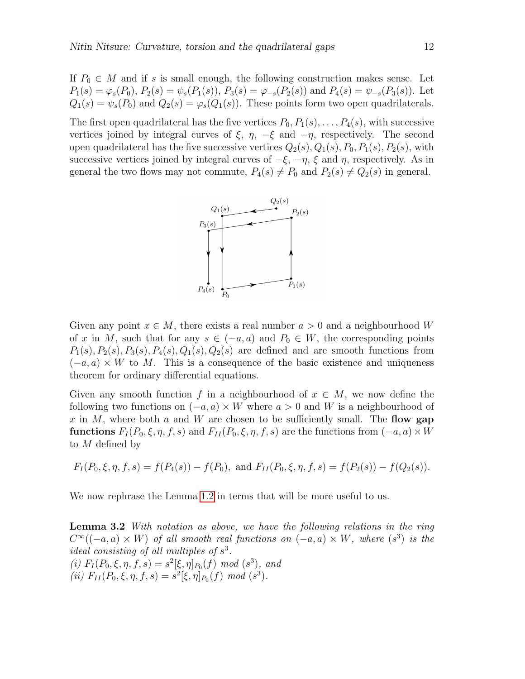If  $P_0 \in M$  and if s is small enough, the following construction makes sense. Let  $P_1(s) = \varphi_s(P_0), P_2(s) = \psi_s(P_1(s)), P_3(s) = \varphi_{-s}(P_2(s))$  and  $P_4(s) = \psi_{-s}(P_3(s))$ . Let  $Q_1(s) = \psi_s(P_0)$  and  $Q_2(s) = \varphi_s(Q_1(s))$ . These points form two open quadrilaterals.

The first open quadrilateral has the five vertices  $P_0, P_1(s), \ldots, P_4(s)$ , with successive vertices joined by integral curves of  $\xi$ ,  $\eta$ ,  $-\xi$  and  $-\eta$ , respectively. The second open quadrilateral has the five successive vertices  $Q_2(s), Q_1(s), P_0, P_1(s), P_2(s)$ , with successive vertices joined by integral curves of  $-\xi$ ,  $-\eta$ ,  $\xi$  and  $\eta$ , respectively. As in general the two flows may not commute,  $P_4(s) \neq P_0$  and  $P_2(s) \neq Q_2(s)$  in general.



Given any point  $x \in M$ , there exists a real number  $a > 0$  and a neighbourhood W of x in M, such that for any  $s \in (-a, a)$  and  $P_0 \in W$ , the corresponding points  $P_1(s), P_2(s), P_3(s), P_4(s), Q_1(s), Q_2(s)$  are defined and are smooth functions from  $(-a, a) \times W$  to M. This is a consequence of the basic existence and uniqueness theorem for ordinary differential equations.

Given any smooth function f in a neighbourhood of  $x \in M$ , we now define the following two functions on  $(-a, a) \times W$  where  $a > 0$  and W is a neighbourhood of x in M, where both a and W are chosen to be sufficiently small. The flow gap **functions**  $F_I(P_0, \xi, \eta, f, s)$  and  $F_{II}(P_0, \xi, \eta, f, s)$  are the functions from  $(-a, a) \times W$ to M defined by

$$
F_I(P_0, \xi, \eta, f, s) = f(P_4(s)) - f(P_0)
$$
, and  $F_{II}(P_0, \xi, \eta, f, s) = f(P_2(s)) - f(Q_2(s))$ .

<span id="page-11-0"></span>We now rephrase the Lemma [1.2](#page-5-0) in terms that will be more useful to us.

Lemma 3.2 With notation as above, we have the following relations in the ring  $C^{\infty}((-a,a) \times W)$  of all smooth real functions on  $(-a,a) \times W$ , where  $(s^3)$  is the ideal consisting of all multiples of  $s^3$ . (i)  $F_I(P_0, \xi, \eta, f, s) = s^2[\xi, \eta]_{P_0}(f) \mod (s^3)$ , and

(*ii*) 
$$
F_{II}(P_0, \xi, \eta, f, s) = s^2[\xi, \eta]_{P_0}(f) \mod (s^3).
$$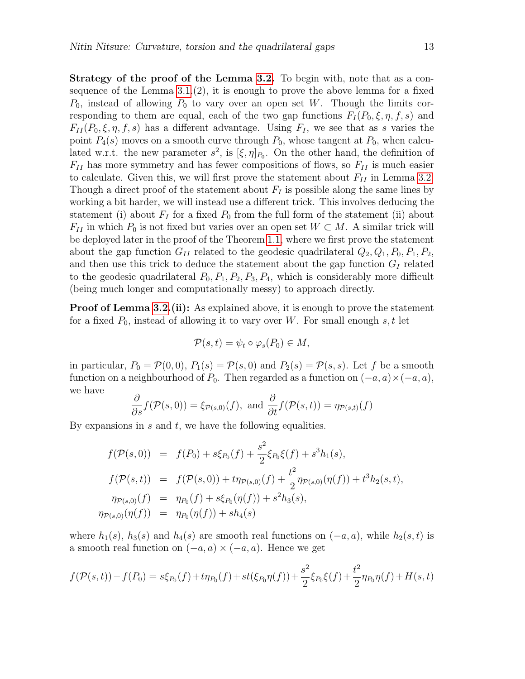Strategy of the proof of the Lemma [3.2.](#page-11-0) To begin with, note that as a consequence of the Lemma  $3.1(2)$ , it is enough to prove the above lemma for a fixed  $P_0$ , instead of allowing  $P_0$  to vary over an open set W. Though the limits corresponding to them are equal, each of the two gap functions  $F_I(P_0, \xi, \eta, f, s)$  and  $F_{II}(P_0, \xi, \eta, f, s)$  has a different advantage. Using  $F_I$ , we see that as s varies the point  $P_4(s)$  moves on a smooth curve through  $P_0$ , whose tangent at  $P_0$ , when calculated w.r.t. the new parameter  $s^2$ , is  $[\xi, \eta]_{P_0}$ . On the other hand, the definition of  $F_{II}$  has more symmetry and has fewer compositions of flows, so  $F_{II}$  is much easier to calculate. Given this, we will first prove the statement about  $F_{II}$  in Lemma [3.2.](#page-11-0) Though a direct proof of the statement about  $F_I$  is possible along the same lines by working a bit harder, we will instead use a different trick. This involves deducing the statement (i) about  $F_I$  for a fixed  $P_0$  from the full form of the statement (ii) about  $F_{II}$  in which  $P_0$  is not fixed but varies over an open set  $W \subset M$ . A similar trick will be deployed later in the proof of the Theorem [1.1,](#page-3-0) where we first prove the statement about the gap function  $G_{II}$  related to the geodesic quadrilateral  $Q_2, Q_1, P_0, P_1, P_2,$ and then use this trick to deduce the statement about the gap function  $G_I$  related to the geodesic quadrilateral  $P_0$ ,  $P_1$ ,  $P_2$ ,  $P_3$ ,  $P_4$ , which is considerably more difficult (being much longer and computationally messy) to approach directly.

**Proof of Lemma [3.2.](#page-11-0)(ii):** As explained above, it is enough to prove the statement for a fixed  $P_0$ , instead of allowing it to vary over W. For small enough s, t let

$$
\mathcal{P}(s,t) = \psi_t \circ \varphi_s(P_0) \in M,
$$

in particular,  $P_0 = \mathcal{P}(0,0)$ ,  $P_1(s) = \mathcal{P}(s,0)$  and  $P_2(s) = \mathcal{P}(s,s)$ . Let f be a smooth function on a neighbourhood of  $P_0$ . Then regarded as a function on  $(-a, a) \times (-a, a)$ , we have

$$
\frac{\partial}{\partial s} f(\mathcal{P}(s,0)) = \xi_{\mathcal{P}(s,0)}(f), \text{ and } \frac{\partial}{\partial t} f(\mathcal{P}(s,t)) = \eta_{\mathcal{P}(s,t)}(f)
$$

By expansions in  $s$  and  $t$ , we have the following equalities.

$$
f(\mathcal{P}(s,0)) = f(P_0) + s\xi_{P_0}(f) + \frac{s^2}{2}\xi_{P_0}\xi(f) + s^3h_1(s),
$$
  
\n
$$
f(\mathcal{P}(s,t)) = f(\mathcal{P}(s,0)) + t\eta_{\mathcal{P}(s,0)}(f) + \frac{t^2}{2}\eta_{\mathcal{P}(s,0)}(\eta(f)) + t^3h_2(s,t),
$$
  
\n
$$
\eta_{\mathcal{P}(s,0)}(f) = \eta_{P_0}(f) + s\xi_{P_0}(\eta(f)) + s^2h_3(s),
$$
  
\n
$$
\eta_{\mathcal{P}(s,0)}(\eta(f)) = \eta_{P_0}(\eta(f)) + sh_4(s)
$$

where  $h_1(s)$ ,  $h_3(s)$  and  $h_4(s)$  are smooth real functions on  $(-a, a)$ , while  $h_2(s, t)$  is a smooth real function on  $(-a, a) \times (-a, a)$ . Hence we get

$$
f(\mathcal{P}(s,t)) - f(P_0) = s\xi_{P_0}(f) + t\eta_{P_0}(f) + st(\xi_{P_0}\eta(f)) + \frac{s^2}{2}\xi_{P_0}\xi(f) + \frac{t^2}{2}\eta_{P_0}\eta(f) + H(s,t)
$$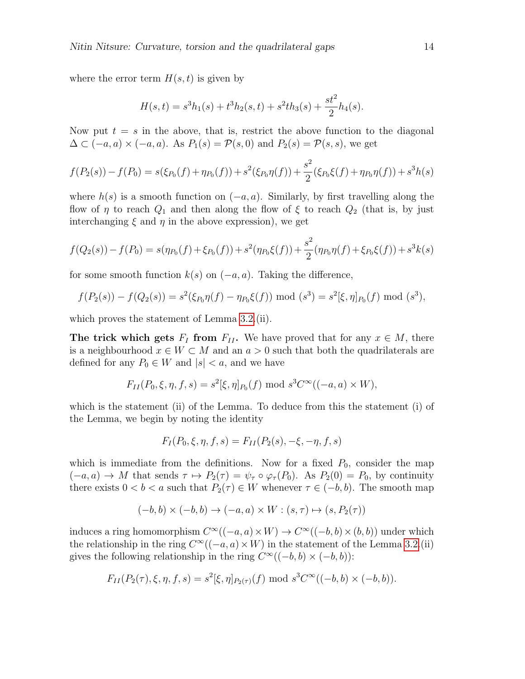where the error term  $H(s, t)$  is given by

$$
H(s,t) = s3h1(s) + t3h2(s,t) + s2th3(s) + \frac{st2}{2}h4(s).
$$

Now put  $t = s$  in the above, that is, restrict the above function to the diagonal  $\Delta \subset (-a, a) \times (-a, a)$ . As  $P_1(s) = \mathcal{P}(s, 0)$  and  $P_2(s) = \mathcal{P}(s, s)$ , we get

$$
f(P_2(s)) - f(P_0) = s(\xi_{P_0}(f) + \eta_{P_0}(f)) + s^2(\xi_{P_0}\eta(f)) + \frac{s^2}{2}(\xi_{P_0}\xi(f) + \eta_{P_0}\eta(f)) + s^3h(s)
$$

where  $h(s)$  is a smooth function on  $(-a, a)$ . Similarly, by first travelling along the flow of  $\eta$  to reach  $Q_1$  and then along the flow of  $\xi$  to reach  $Q_2$  (that is, by just interchanging  $\xi$  and  $\eta$  in the above expression), we get

$$
f(Q_2(s)) - f(P_0) = s(\eta_{P_0}(f) + \xi_{P_0}(f)) + s^2(\eta_{P_0}\xi(f)) + \frac{s^2}{2}(\eta_{P_0}\eta(f) + \xi_{P_0}\xi(f)) + s^3k(s)
$$

for some smooth function  $k(s)$  on  $(-a, a)$ . Taking the difference,

$$
f(P_2(s)) - f(Q_2(s)) = s^2(\xi_{P_0}\eta(f) - \eta_{P_0}\xi(f)) \bmod (s^3) = s^2[\xi, \eta]_{P_0}(f) \bmod (s^3),
$$

which proves the statement of Lemma [3.2.](#page-11-0)(ii).

The trick which gets  $F_I$  from  $F_{II}$ . We have proved that for any  $x \in M$ , there is a neighbourhood  $x \in W \subset M$  and an  $a > 0$  such that both the quadrilaterals are defined for any  $P_0 \in W$  and  $|s| < a$ , and we have

$$
F_{II}(P_0, \xi, \eta, f, s) = s^2[\xi, \eta]_{P_0}(f) \text{ mod } s^3 C^\infty((-a, a) \times W),
$$

which is the statement (ii) of the Lemma. To deduce from this the statement (i) of the Lemma, we begin by noting the identity

$$
F_I(P_0, \xi, \eta, f, s) = F_{II}(P_2(s), -\xi, -\eta, f, s)
$$

which is immediate from the definitions. Now for a fixed  $P_0$ , consider the map  $(-a, a) \to M$  that sends  $\tau \mapsto P_2(\tau) = \psi_\tau \circ \varphi_\tau(P_0)$ . As  $P_2(0) = P_0$ , by continuity there exists  $0 < b < a$  such that  $P_2(\tau) \in W$  whenever  $\tau \in (-b, b)$ . The smooth map

$$
(-b, b) \times (-b, b) \rightarrow (-a, a) \times W : (s, \tau) \mapsto (s, P_2(\tau))
$$

induces a ring homomorphism  $C^{\infty}((-a, a) \times W) \to C^{\infty}((-b, b) \times (b, b))$  under which the relationship in the ring  $C^{\infty}((-a, a) \times W)$  in the statement of the Lemma [3.2.](#page-11-0)(ii) gives the following relationship in the ring  $C^{\infty}((-b, b) \times (-b, b))$ :

$$
F_{II}(P_2(\tau), \xi, \eta, f, s) = s^2[\xi, \eta]_{P_2(\tau)}(f) \text{ mod } s^3 C^\infty((-b, b) \times (-b, b)).
$$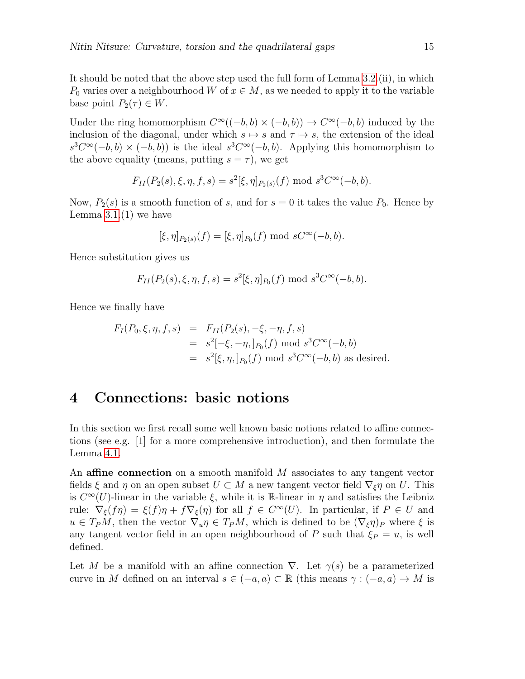It should be noted that the above step used the full form of Lemma [3.2.](#page-11-0)(ii), in which  $P_0$  varies over a neighbourhood W of  $x \in M$ , as we needed to apply it to the variable base point  $P_2(\tau) \in W$ .

Under the ring homomorphism  $C^{\infty}((-b, b) \times (-b, b)) \to C^{\infty}(-b, b)$  induced by the inclusion of the diagonal, under which  $s \mapsto s$  and  $\tau \mapsto s$ , the extension of the ideal  $s^3C^{\infty}(-b,b) \times (-b,b)$  is the ideal  $s^3C^{\infty}(-b,b)$ . Applying this homomorphism to the above equality (means, putting  $s = \tau$ ), we get

$$
F_{II}(P_2(s), \xi, \eta, f, s) = s^2[\xi, \eta]_{P_2(s)}(f) \text{ mod } s^3 C^{\infty}(-b, b).
$$

Now,  $P_2(s)$  is a smooth function of s, and for  $s = 0$  it takes the value  $P_0$ . Hence by Lemma  $3.1(1)$  we have

$$
[\xi, \eta]_{P_2(s)}(f) = [\xi, \eta]_{P_0}(f) \text{ mod } sC^{\infty}(-b, b).
$$

Hence substitution gives us

$$
F_{II}(P_2(s), \xi, \eta, f, s) = s^2[\xi, \eta]_{P_0}(f) \text{ mod } s^3 C^{\infty}(-b, b).
$$

Hence we finally have

$$
F_I(P_0, \xi, \eta, f, s) = F_{II}(P_2(s), -\xi, -\eta, f, s)
$$
  
=  $s^2[-\xi, -\eta, ]_{P_0}(f) \text{ mod } s^3 C^{\infty}(-b, b)$   
=  $s^2[\xi, \eta, ]_{P_0}(f) \text{ mod } s^3 C^{\infty}(-b, b) \text{ as desired.}$ 

## 4 Connections: basic notions

In this section we first recall some well known basic notions related to affine connections (see e.g. [1] for a more comprehensive introduction), and then formulate the Lemma [4.1.](#page-16-0)

An **affine connection** on a smooth manifold M associates to any tangent vector fields  $\xi$  and  $\eta$  on an open subset  $U \subset M$  a new tangent vector field  $\nabla_{\xi} \eta$  on U. This is  $C^{\infty}(U)$ -linear in the variable  $\xi$ , while it is R-linear in  $\eta$  and satisfies the Leibniz rule:  $\nabla_{\xi}(f\eta) = \xi(f)\eta + f\nabla_{\xi}(\eta)$  for all  $f \in C^{\infty}(U)$ . In particular, if  $P \in U$  and  $u \in T_P M$ , then the vector  $\nabla_u \eta \in T_P M$ , which is defined to be  $(\nabla_{\xi} \eta)_P$  where  $\xi$  is any tangent vector field in an open neighbourhood of P such that  $\xi_P = u$ , is well defined.

Let M be a manifold with an affine connection  $\nabla$ . Let  $\gamma(s)$  be a parameterized curve in M defined on an interval  $s \in (-a, a) \subset \mathbb{R}$  (this means  $\gamma : (-a, a) \to M$  is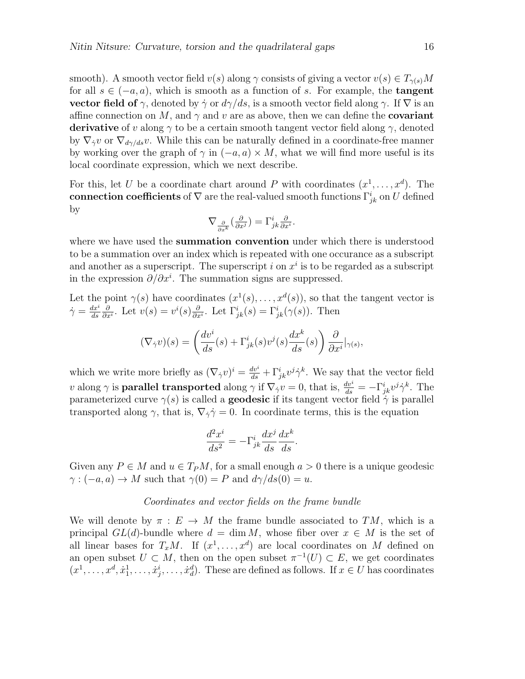smooth). A smooth vector field  $v(s)$  along  $\gamma$  consists of giving a vector  $v(s) \in T_{\gamma(s)}M$ for all  $s \in (-a, a)$ , which is smooth as a function of s. For example, the **tangent** vector field of  $\gamma$ , denoted by  $\dot{\gamma}$  or  $d\gamma/ds$ , is a smooth vector field along  $\gamma$ . If  $\nabla$  is an affine connection on M, and  $\gamma$  and v are as above, then we can define the **covariant derivative** of v along  $\gamma$  to be a certain smooth tangent vector field along  $\gamma$ , denoted by  $\nabla_{\dot{\gamma}}v$  or  $\nabla_{d\gamma/ds}v$ . While this can be naturally defined in a coordinate-free manner by working over the graph of  $\gamma$  in  $(-a, a) \times M$ , what we will find more useful is its local coordinate expression, which we next describe.

For this, let U be a coordinate chart around P with coordinates  $(x^1, \ldots, x^d)$ . The connection coefficients of  $\nabla$  are the real-valued smooth functions  $\Gamma^i_{jk}$  on  $U$  defined by

$$
\nabla_{\frac{\partial}{\partial x^k}}(\frac{\partial}{\partial x^j})=\Gamma^i_{jk}\tfrac{\partial}{\partial x^i}.
$$

where we have used the **summation convention** under which there is understood to be a summation over an index which is repeated with one occurance as a subscript and another as a superscript. The superscript i on  $x^i$  is to be regarded as a subscript in the expression  $\partial/\partial x^i$ . The summation signs are suppressed.

Let the point  $\gamma(s)$  have coordinates  $(x^1(s), \ldots, x^d(s))$ , so that the tangent vector is  $\dot{\gamma} = \frac{dx^i}{ds}$  $_{ds}$ ∂  $\frac{\partial}{\partial x^i}$ . Let  $v(s) = v^i(s) \frac{\partial}{\partial x^i}$  $\frac{\partial}{\partial x^i}$ . Let  $\Gamma^i_{jk}(s) = \Gamma^i_{jk}(\gamma(s))$ . Then

$$
(\nabla_{\dot{\gamma}}v)(s) = \left(\frac{dv^i}{ds}(s) + \Gamma^i_{jk}(s)v^j(s)\frac{dx^k}{ds}(s)\right)\frac{\partial}{\partial x^i}|_{\gamma(s)},
$$

which we write more briefly as  $(\nabla_{\dot{\gamma}}v)^i = \frac{dv^i}{ds} + \Gamma^i_{jk}v^j\dot{\gamma}^k$ . We say that the vector field v along  $\gamma$  is **parallel transported** along  $\gamma$  if  $\nabla_{\dot{\gamma}} v = 0$ , that is,  $\frac{dv^i}{ds} = -\Gamma^i_{jk}v^j\dot{\gamma}^k$ . The parameterized curve  $\gamma(s)$  is called a **geodesic** if its tangent vector field  $\gamma$  is parallel transported along  $\gamma$ , that is,  $\nabla_{\dot{\gamma}} \dot{\gamma} = 0$ . In coordinate terms, this is the equation

$$
\frac{d^2x^i}{ds^2} = -\Gamma^i_{jk}\frac{dx^j}{ds}\frac{dx^k}{ds}.
$$

Given any  $P \in M$  and  $u \in T_P M$ , for a small enough  $a > 0$  there is a unique geodesic  $\gamma: (-a, a) \to M$  such that  $\gamma(0) = P$  and  $d\gamma/ds(0) = u$ .

#### Coordinates and vector fields on the frame bundle

We will denote by  $\pi : E \to M$  the frame bundle associated to  $TM$ , which is a principal  $GL(d)$ -bundle where  $d = \dim M$ , whose fiber over  $x \in M$  is the set of all linear bases for  $T_xM$ . If  $(x^1, \ldots, x^d)$  are local coordinates on M defined on an open subset  $U \subset M$ , then on the open subset  $\pi^{-1}(U) \subset E$ , we get coordinates  $(x^1, \ldots, x^d, \dot{x}_1^1, \ldots, \dot{x}_j^i, \ldots, \dot{x}_d^d)$ . These are defined as follows. If  $x \in U$  has coordinates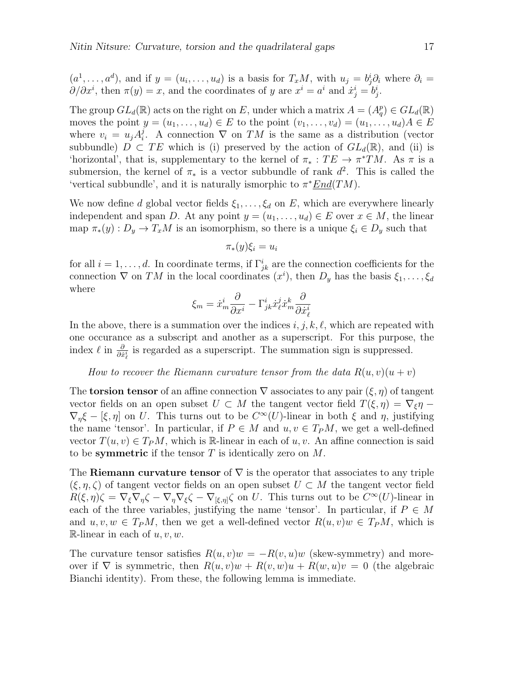$(a^1, \ldots, a^d)$ , and if  $y = (u_i, \ldots, u_d)$  is a basis for  $T_xM$ , with  $u_j = b_j^i \partial_i$  where  $\partial_i =$  $\partial/\partial x^i$ , then  $\pi(y) = x$ , and the coordinates of y are  $x^i = a^i$  and  $\dot{x}^i_j = b^i_j$ .

The group  $GL_d(\mathbb{R})$  acts on the right on E, under which a matrix  $A = (A_q^p) \in GL_d(\mathbb{R})$ moves the point  $y = (u_1, \ldots, u_d) \in E$  to the point  $(v_1, \ldots, v_d) = (u_1, \ldots, u_d)A \in E$ where  $v_i = u_j A_i^j$ <sup>*j*</sup>. A connection  $\nabla$  on  $TM$  is the same as a distribution (vector subbundle)  $D \subset TE$  which is (i) preserved by the action of  $GL_d(\mathbb{R})$ , and (ii) is 'horizontal', that is, supplementary to the kernel of  $\pi_* : TE \to \pi^*TM$ . As  $\pi$  is a submersion, the kernel of  $\pi_*$  is a vector subbundle of rank  $d^2$ . This is called the 'vertical subbundle', and it is naturally ismorphic to  $\pi^* \underline{End}(TM)$ .

We now define d global vector fields  $\xi_1, \ldots, \xi_d$  on E, which are everywhere linearly independent and span D. At any point  $y = (u_1, \ldots, u_d) \in E$  over  $x \in M$ , the linear map  $\pi_*(y) : D_y \to T_xM$  is an isomorphism, so there is a unique  $\xi_i \in D_y$  such that

$$
\pi_*(y)\xi_i=u_i
$$

for all  $i = 1, \ldots, d$ . In coordinate terms, if  $\Gamma^i_{jk}$  are the connection coefficients for the connection  $\nabla$  on TM in the local coordinates  $(x<sup>i</sup>)$ , then  $D_y$  has the basis  $\xi_1, \ldots, \xi_d$ where

$$
\xi_m = \dot{x}_m^i \frac{\partial}{\partial x^i} - \Gamma^i_{jk} \dot{x}_\ell^j \dot{x}_m^k \frac{\partial}{\partial \dot{x}_\ell^i}
$$

In the above, there is a summation over the indices i, j, k,  $\ell$ , which are repeated with one occurance as a subscript and another as a superscript. For this purpose, the index  $\ell$  in  $\frac{\partial}{\partial x^i_{\ell}}$  is regarded as a superscript. The summation sign is suppressed.

How to recover the Riemann curvature tensor from the data  $R(u, v)(u + v)$ 

The **torsion tensor** of an affine connection  $\nabla$  associates to any pair  $(\xi, \eta)$  of tangent vector fields on an open subset  $U \subset M$  the tangent vector field  $T(\xi, \eta) = \nabla_{\xi} \eta$  $\nabla_{\eta} \xi - [\xi, \eta]$  on U. This turns out to be  $C^{\infty}(U)$ -linear in both  $\xi$  and  $\eta$ , justifying the name 'tensor'. In particular, if  $P \in M$  and  $u, v \in T_P M$ , we get a well-defined vector  $T(u, v) \in T_P M$ , which is R-linear in each of  $u, v$ . An affine connection is said to be symmetric if the tensor  $T$  is identically zero on  $M$ .

The Riemann curvature tensor of  $\nabla$  is the operator that associates to any triple  $(\xi, \eta, \zeta)$  of tangent vector fields on an open subset  $U \subset M$  the tangent vector field  $R(\xi, \eta)\zeta = \nabla_{\xi} \nabla_{\eta} \zeta - \nabla_{\eta} \nabla_{\xi} \zeta - \nabla_{[\xi, \eta]} \zeta$  on U. This turns out to be  $C^{\infty}(U)$ -linear in each of the three variables, justifying the name 'tensor'. In particular, if  $P \in M$ and  $u, v, w \in T_P M$ , then we get a well-defined vector  $R(u, v)w \in T_P M$ , which is R-linear in each of  $u, v, w$ .

<span id="page-16-0"></span>The curvature tensor satisfies  $R(u, v)w = -R(v, u)w$  (skew-symmetry) and moreover if  $\nabla$  is symmetric, then  $R(u, v)w + R(v, w)u + R(w, u)v = 0$  (the algebraic Bianchi identity). From these, the following lemma is immediate.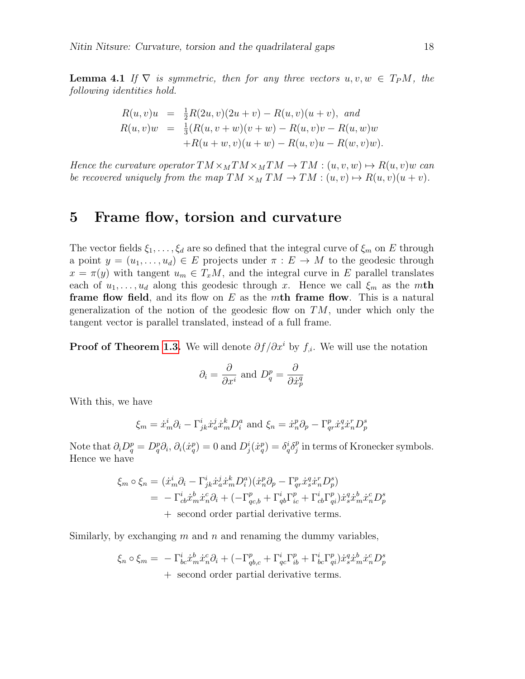**Lemma 4.1** If  $\nabla$  is symmetric, then for any three vectors  $u, v, w \in T_P M$ , the following identities hold.

$$
R(u, v)u = \frac{1}{2}R(2u, v)(2u + v) - R(u, v)(u + v), and
$$
  
\n
$$
R(u, v)w = \frac{1}{3}(R(u, v + w)(v + w) - R(u, v)v - R(u, w)w
$$
  
\n
$$
+R(u + w, v)(u + w) - R(u, v)u - R(w, v)w).
$$

Hence the curvature operator  $TM \times_M TM \times_M TM \rightarrow TM : (u, v, w) \mapsto R(u, v)w$  can be recovered uniquely from the map  $TM \times_M TM \to TM : (u, v) \mapsto R(u, v)(u + v)$ .

### 5 Frame flow, torsion and curvature

The vector fields  $\xi_1, \ldots, \xi_d$  are so defined that the integral curve of  $\xi_m$  on E through a point  $y = (u_1, \ldots, u_d) \in E$  projects under  $\pi : E \to M$  to the geodesic through  $x = \pi(y)$  with tangent  $u_m \in T_xM$ , and the integral curve in E parallel translates each of  $u_1, \ldots, u_d$  along this geodesic through x. Hence we call  $\xi_m$  as the mth **frame flow field,** and its flow on E as the mth frame flow. This is a natural generalization of the notion of the geodesic flow on  $TM$ , under which only the tangent vector is parallel translated, instead of a full frame.

**Proof of Theorem [1.3.](#page-5-1)** We will denote  $\partial f/\partial x^i$  by  $f_{i}$ . We will use the notation

$$
\partial_i = \frac{\partial}{\partial x^i}
$$
 and  $D_q^p = \frac{\partial}{\partial \dot{x}_p^q}$ 

With this, we have

$$
\xi_m = \dot{x}_m^i \partial_i - \Gamma^i_{jk} \dot{x}_a^j \dot{x}_m^k D_i^a
$$
 and 
$$
\xi_n = \dot{x}_n^p \partial_p - \Gamma^p_{qr} \dot{x}_s^q \dot{x}_n^r D_p^s
$$

Note that  $\partial_i D_q^p = D_q^p \partial_i$ ,  $\partial_i (\dot{x}_q^p) = 0$  and  $D_j^i (\dot{x}_q^p) = \delta_q^i \delta_j^p$  $_j^p$  in terms of Kronecker symbols. Hence we have

$$
\xi_m \circ \xi_n = (\dot{x}_m^i \partial_i - \Gamma^i_{jk} \dot{x}_a^j \dot{x}_m^k D_i^a)(\dot{x}_n^p \partial_p - \Gamma^p_{qr} \dot{x}_s^q \dot{x}_n^r D_p^s)
$$
  
=  $-\Gamma^i_{cb} \dot{x}_m^b \dot{x}_n^c \partial_i + (-\Gamma^p_{qc,b} + \Gamma^i_{qb} \Gamma^p_{ic} + \Gamma^i_{cb} \Gamma^p_{qi}) \dot{x}_s^q \dot{x}_m^b \dot{x}_n^c D_p^s$   
+ second order partial derivative terms.

Similarly, by exchanging  $m$  and  $n$  and renaming the dummy variables,

$$
\xi_n \circ \xi_m = -\Gamma^i_{bc} \dot{x}_m^b \dot{x}_n^c \partial_i + (-\Gamma^p_{qb,c} + \Gamma^i_{qc} \Gamma^p_{ib} + \Gamma^i_{bc} \Gamma^p_{qi}) \dot{x}_s^q \dot{x}_m^b \dot{x}_n^c D^s_p
$$
  
+ second order partial derivative terms.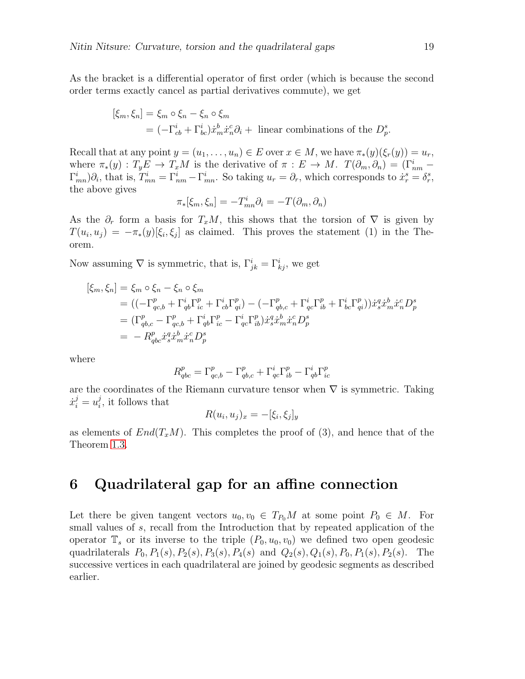As the bracket is a differential operator of first order (which is because the second order terms exactly cancel as partial derivatives commute), we get

$$
[\xi_m, \xi_n] = \xi_m \circ \xi_n - \xi_n \circ \xi_m
$$
  
=  $(-\Gamma^i_{cb} + \Gamma^i_{bc}) \dot{x}^b_m \dot{x}^c_n \partial_i +$  linear combinations of the  $D^s_p$ .

Recall that at any point  $y = (u_1, \ldots, u_n) \in E$  over  $x \in M$ , we have  $\pi_*(y)(\xi_r(y)) = u_r$ , where  $\pi_*(y) : T_y E \to T_x M$  is the derivative of  $\pi : E \to M$ .  $T(\partial_m, \partial_n) = (\Gamma^i_{nm} - \Gamma^i_{nm})$  $\Gamma_{mn}^i\right)\partial_i$ , that is,  $T_{mn}^i = \Gamma_{nm}^i - \Gamma_{mn}^i$ . So taking  $u_r = \partial_r$ , which corresponds to  $\dot{x}_r^s = \delta_r^s$ , the above gives

$$
\pi_*[\xi_m, \xi_n] = -T^i_{mn}\partial_i = -T(\partial_m, \partial_n)
$$

As the  $\partial_r$  form a basis for  $T_xM$ , this shows that the torsion of  $\nabla$  is given by  $T(u_i, u_j) = -\pi_*(y)[\xi_i, \xi_j]$  as claimed. This proves the statement (1) in the Theorem.

Now assuming  $\nabla$  is symmetric, that is,  $\Gamma_{jk}^i = \Gamma_{kj}^i$ , we get

$$
\begin{aligned} [\xi_m, \xi_n] &= \xi_m \circ \xi_n - \xi_n \circ \xi_m \\ &= \left( (-\Gamma_{qc,b}^p + \Gamma_{qb}^i \Gamma_{ic}^p + \Gamma_{cb}^i \Gamma_{qi}^p) - (-\Gamma_{qb,c}^p + \Gamma_{qc}^i \Gamma_{ib}^p + \Gamma_{bc}^i \Gamma_{qi}^p) \right) \dot{x}_s^q \dot{x}_m^b \dot{x}_n^c D_p^s \\ &= (\Gamma_{qb,c}^p - \Gamma_{qc,b}^p + \Gamma_{qb}^i \Gamma_{ic}^p - \Gamma_{qc}^i \Gamma_{ib}^p) \dot{x}_s^q \dot{x}_m^b \dot{x}_n^c D_p^s \\ &= -R_{qc}^p \dot{x}_s^q \dot{x}_m^b \dot{x}_n^c D_p^s \end{aligned}
$$

where

$$
R_{qbc}^p = \Gamma_{qc,b}^p - \Gamma_{qb,c}^p + \Gamma_{qc}^i \Gamma_{ib}^p - \Gamma_{qb}^i \Gamma_{ic}^p
$$

are the coordinates of the Riemann curvature tensor when  $\nabla$  is symmetric. Taking  $\dot{x}_i^j = u_i^j$  $i_j$ , it follows that

$$
R(u_i, u_j)_x = -[\xi_i, \xi_j]_y
$$

as elements of  $End(T_xM)$ . This completes the proof of (3), and hence that of the Theorem [1.3.](#page-5-1)

### 6 Quadrilateral gap for an affine connection

Let there be given tangent vectors  $u_0, v_0 \in T_{P_0}M$  at some point  $P_0 \in M$ . For small values of s, recall from the Introduction that by repeated application of the operator  $\mathbb{T}_s$  or its inverse to the triple  $(P_0, u_0, v_0)$  we defined two open geodesic quadrilaterals  $P_0$ ,  $P_1(s)$ ,  $P_2(s)$ ,  $P_3(s)$ ,  $P_4(s)$  and  $Q_2(s)$ ,  $Q_1(s)$ ,  $P_0$ ,  $P_1(s)$ ,  $P_2(s)$ . The successive vertices in each quadrilateral are joined by geodesic segments as described earlier.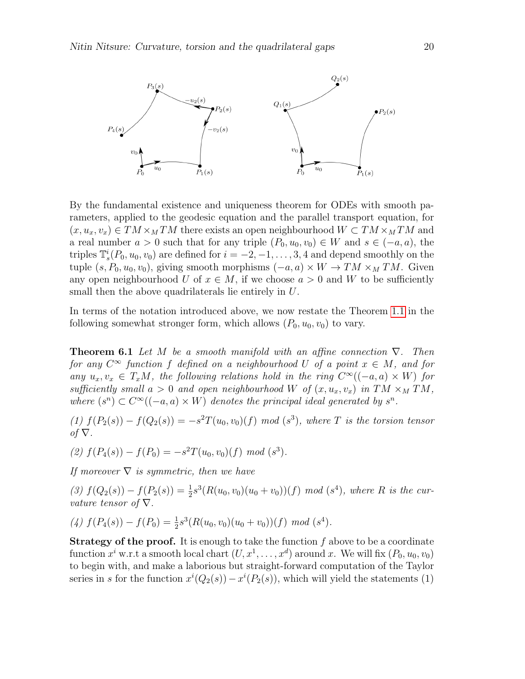

By the fundamental existence and uniqueness theorem for ODEs with smooth parameters, applied to the geodesic equation and the parallel transport equation, for  $(x, u_x, v_x) \in TM \times_M TM$  there exists an open neighbourhood  $W \subset TM \times_M TM$  and a real number  $a > 0$  such that for any triple  $(P_0, u_0, v_0) \in W$  and  $s \in (-a, a)$ , the triples  $\mathbb{T}_s^i(P_0, u_0, v_0)$  are defined for  $i = -2, -1, \ldots, 3, 4$  and depend smoothly on the tuple  $(s, P_0, u_0, v_0)$ , giving smooth morphisms  $(-a, a) \times W \to TM \times_M TM$ . Given any open neighbourhood U of  $x \in M$ , if we choose  $a > 0$  and W to be sufficiently small then the above quadrilaterals lie entirely in U.

In terms of the notation introduced above, we now restate the Theorem [1.1](#page-3-0) in the following somewhat stronger form, which allows  $(P_0, u_0, v_0)$  to vary.

<span id="page-19-0"></span>**Theorem 6.1** Let M be a smooth manifold with an affine connection  $\nabla$ . Then for any  $C^{\infty}$  function f defined on a neighbourhood U of a point  $x \in M$ , and for any  $u_x, v_x \in T_xM$ , the following relations hold in the ring  $C^{\infty}((-a, a) \times W)$  for sufficiently small  $a > 0$  and open neighbourhood W of  $(x, u_x, v_x)$  in TM  $\times_M TM$ , where  $(s^n) \subset C^{\infty}((-a, a) \times W)$  denotes the principal ideal generated by  $s^n$ .

(1)  $f(P_2(s)) - f(Q_2(s)) = -s^2 T(u_0, v_0)(f) \mod (s^3)$ , where T is the torsion tensor  $of \nabla$ .

(2)  $f(P_4(s)) - f(P_0) = -s^2 T(u_0, v_0)(f) \mod (s^3)$ .

If moreover  $\nabla$  is symmetric, then we have

(3)  $f(Q_2(s)) - f(P_2(s)) = \frac{1}{2}s^3(R(u_0, v_0)(u_0 + v_0))(f) \mod (s^4)$ , where R is the curvature tensor of  $\nabla$ .

(4) 
$$
f(P_4(s)) - f(P_0) = \frac{1}{2}s^3(R(u_0, v_0)(u_0 + v_0))(f) \mod (s^4).
$$

**Strategy of the proof.** It is enough to take the function  $f$  above to be a coordinate function  $x^i$  w.r.t a smooth local chart  $(U, x^1, \ldots, x^d)$  around x. We will fix  $(P_0, u_0, v_0)$ to begin with, and make a laborious but straight-forward computation of the Taylor series in s for the function  $x^{i}(Q_2(s)) - x^{i}(P_2(s))$ , which will yield the statements (1)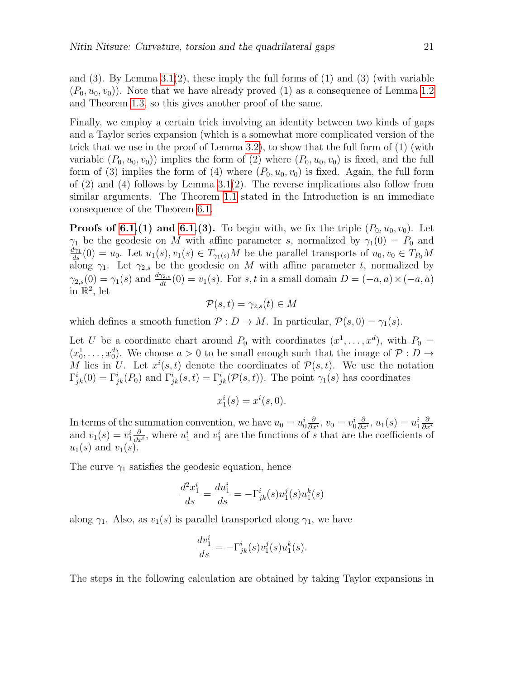and  $(3)$ . By Lemma  $3.1(2)$ , these imply the full forms of  $(1)$  and  $(3)$  (with variable  $(P_0, u_0, v_0)$ . Note that we have already proved (1) as a consequence of Lemma [1.2](#page-5-0) and Theorem [1.3,](#page-5-1) so this gives another proof of the same.

Finally, we employ a certain trick involving an identity between two kinds of gaps and a Taylor series expansion (which is a somewhat more complicated version of the trick that we use in the proof of Lemma [3.2\)](#page-11-0), to show that the full form of (1) (with variable  $(P_0, u_0, v_0)$  implies the form of (2) where  $(P_0, u_0, v_0)$  is fixed, and the full form of (3) implies the form of (4) where  $(P_0, u_0, v_0)$  is fixed. Again, the full form of  $(2)$  and  $(4)$  follows by Lemma 3.1 $(2)$ . The reverse implications also follow from similar arguments. The Theorem [1.1](#page-3-0) stated in the Introduction is an immediate consequence of the Theorem [6.1.](#page-19-0)

**Proofs of [6.1.](#page-19-0)(1) and 6.1.(3).** To begin with, we fix the triple  $(P_0, u_0, v_0)$ . Let  $\gamma_1$  be the geodesic on M with affine parameter s, normalized by  $\gamma_1(0) = P_0$  and  $\frac{d\gamma_1}{ds}(0) = u_0$ . Let  $u_1(s), v_1(s) \in T_{\gamma_1(s)}M$  be the parallel transports of  $u_0, v_0 \in T_{P_0}M$ along  $\gamma_1$ . Let  $\gamma_{2,s}$  be the geodesic on M with affine parameter t, normalized by  $\gamma_{2,s}(0) = \gamma_1(s)$  and  $\frac{d\gamma_{2,s}}{dt}(0) = v_1(s)$ . For s, t in a small domain  $D = (-a, a) \times (-a, a)$ in  $\mathbb{R}^2$ , let

$$
\mathcal{P}(s,t) = \gamma_{2,s}(t) \in M
$$

which defines a smooth function  $P: D \to M$ . In particular,  $P(s, 0) = \gamma_1(s)$ .

Let U be a coordinate chart around  $P_0$  with coordinates  $(x^1, \ldots, x^d)$ , with  $P_0 =$  $(x_0^1, \ldots, x_0^d)$ . We choose  $a > 0$  to be small enough such that the image of  $\mathcal{P}: D \to$ M lies in U. Let  $x^{i}(s,t)$  denote the coordinates of  $\mathcal{P}(s,t)$ . We use the notation  $\Gamma^i_{jk}(0) = \Gamma^i_{jk}(P_0)$  and  $\Gamma^i_{jk}(s,t) = \Gamma^i_{jk}(\mathcal{P}(s,t))$ . The point  $\gamma_1(s)$  has coordinates

$$
x_1^i(s) = x^i(s,0).
$$

In terms of the summation convention, we have  $u_0 = u_0^i \frac{\partial}{\partial x^i}$  $\frac{\partial}{\partial x^i}, v_0 = v_0^i \frac{\partial}{\partial x^i}$  $\frac{\partial}{\partial x^i}, u_1(s) = u_1^i \frac{\partial}{\partial x^i}$ and  $v_1(s) = v_1^i \frac{\partial}{\partial x^i}$ , where  $u_1^i$  and  $v_1^i$  are the functions of s that are the coefficients of  $\frac{\partial}{\partial x^i}$ , where  $u_1^i$  and  $v_1^i$  are the functions of s that are the coefficients of  $u_1(s)$  and  $v_1(s)$ .

The curve  $\gamma_1$  satisfies the geodesic equation, hence

$$
\frac{d^2x_1^i}{ds} = \frac{du_1^i}{ds} = -\Gamma^i_{jk}(s)u_1^j(s)u_1^k(s)
$$

along  $\gamma_1$ . Also, as  $v_1(s)$  is parallel transported along  $\gamma_1$ , we have

$$
\frac{dv_1^i}{ds} = -\Gamma^i_{jk}(s)v_1^j(s)u_1^k(s).
$$

The steps in the following calculation are obtained by taking Taylor expansions in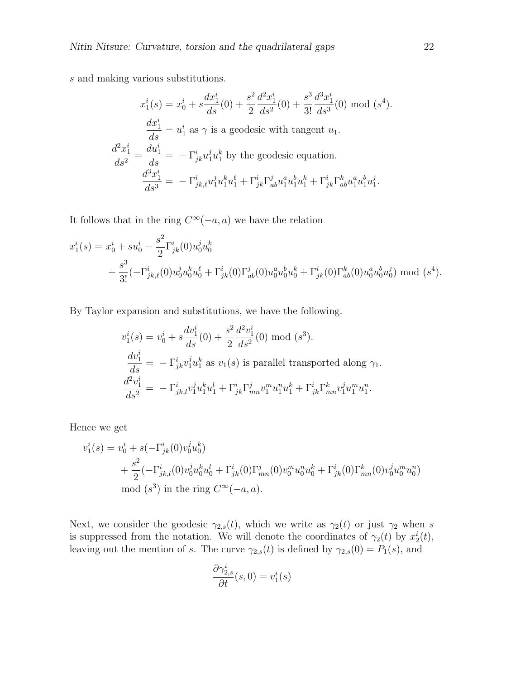s and making various substitutions.

$$
x_1^i(s) = x_0^i + s \frac{dx_1^i}{ds}(0) + \frac{s^2}{2} \frac{d^2 x_1^i}{ds^2}(0) + \frac{s^3}{3!} \frac{d^3 x_1^i}{ds^3}(0) \text{ mod } (s^4).
$$
  

$$
\frac{dx_1^i}{ds} = u_1^i \text{ as } \gamma \text{ is a geodesic with tangent } u_1.
$$
  

$$
\frac{d^2 x_1^i}{ds^2} = \frac{du_1^i}{ds} = -\Gamma_{jk}^i u_1^j u_1^k \text{ by the geodesic equation.}
$$
  

$$
\frac{d^3 x_1^i}{ds^3} = -\Gamma_{jk\ell}^i u_1^j u_1^k u_1^{\ell} + \Gamma_{jk}^i \Gamma_{ab}^j u_1^a u_1^b u_1^k + \Gamma_{jk}^i \Gamma_{ab}^k u_1^a u_1^b u_1^j.
$$

It follows that in the ring  $C^{\infty}(-a, a)$  we have the relation

$$
x_1^i(s) = x_0^i + su_0^i - \frac{s^2}{2} \Gamma_{jk}^i(0) u_0^j u_0^k + \frac{s^3}{3!} (-\Gamma_{jk,\ell}^i(0) u_0^j u_0^k u_0^{\ell} + \Gamma_{jk}^i(0) \Gamma_{ab}^j(0) u_0^a u_0^b u_0^k + \Gamma_{jk}^i(0) \Gamma_{ab}^k(0) u_0^a u_0^b u_0^j) \text{ mod } (s^4).
$$

By Taylor expansion and substitutions, we have the following.

$$
v_1^i(s) = v_0^i + s \frac{dv_1^i}{ds}(0) + \frac{s^2}{2} \frac{d^2 v_1^i}{ds^2}(0) \text{ mod } (s^3).
$$
  
\n
$$
\frac{dv_1^i}{ds} = -\Gamma_{jk}^i v_1^j u_1^k \text{ as } v_1(s) \text{ is parallel transported along } \gamma_1.
$$
  
\n
$$
\frac{d^2 v_1^i}{ds^2} = -\Gamma_{jk,l}^i v_1^j u_1^k u_1^l + \Gamma_{jk}^i \Gamma_{mn}^j v_1^m u_1^n u_1^k + \Gamma_{jk}^i \Gamma_{mn}^k v_1^j u_1^m u_1^n.
$$

Hence we get

$$
v_1^i(s) = v_0^i + s(-\Gamma_{jk}^i(0)v_0^ju_0^k) + \frac{s^2}{2}(-\Gamma_{jk,l}^i(0)v_0^ju_0^ku_0^l + \Gamma_{jk}^i(0)\Gamma_{mn}^j(0)v_0^mu_0^nu_0^k + \Gamma_{jk}^i(0)\Gamma_{mn}^k(0)v_0^ju_0^mu_0^n) \text{mod } (s^3) \text{ in the ring } C^{\infty}(-a, a).
$$

Next, we consider the geodesic  $\gamma_{2,s}(t)$ , which we write as  $\gamma_2(t)$  or just  $\gamma_2$  when s is suppressed from the notation. We will denote the coordinates of  $\gamma_2(t)$  by  $x_2^i(t)$ , leaving out the mention of s. The curve  $\gamma_{2,s}(t)$  is defined by  $\gamma_{2,s}(0) = P_1(s)$ , and

$$
\frac{\partial \gamma_{2,s}^i}{\partial t}(s,0) = v_1^i(s)
$$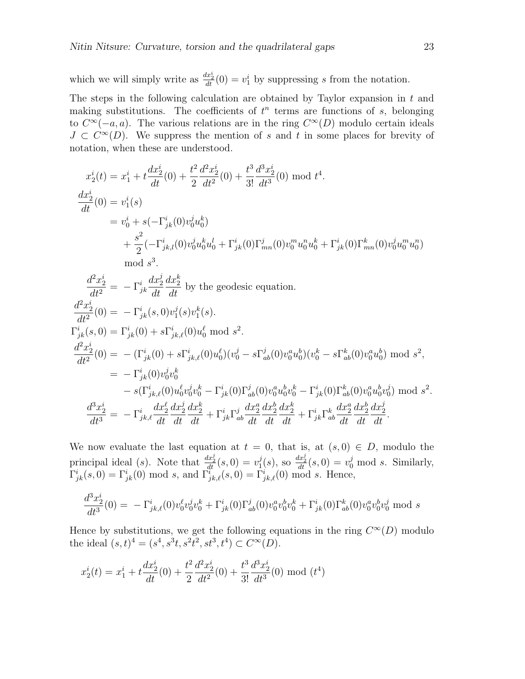which we will simply write as  $\frac{dx_2^i}{dt}(0) = v_1^i$  by suppressing s from the notation.

The steps in the following calculation are obtained by Taylor expansion in  $t$  and making substitutions. The coefficients of  $t^n$  terms are functions of s, belonging to  $C^{\infty}(-a, a)$ . The various relations are in the ring  $C^{\infty}(D)$  modulo certain ideals  $J \subset C^{\infty}(D)$ . We suppress the mention of s and t in some places for brevity of notation, when these are understood.

$$
x_2^i(t) = x_1^i + t \frac{dx_2^i}{dt}(0) + \frac{t^2}{2} \frac{d^2 x_2^i}{dt^2}(0) + \frac{t^3}{3!} \frac{d^3 x_2^i}{dt^3}(0) \mod t^4.
$$
  
\n
$$
\frac{dx_2^i}{dt}(0) = v_1^i(s)
$$
  
\n
$$
= v_0^i + s(-\Gamma_{jk}^i(0)v_0^j u_0^k)
$$
  
\n
$$
+ \frac{s^2}{2}(-\Gamma_{jk,l}^i(0)v_0^j u_0^k u_0^l + \Gamma_{jk}^i(0)\Gamma_{mn}^j(0)v_0^m u_0^n u_0^k + \Gamma_{jk}^i(0)\Gamma_{mn}^k(0)v_0^j u_0^m u_0^n)
$$
  
\nmod  $s^3$ .

$$
\frac{d^2x_2^i}{dt^2} = -\Gamma_{jk}^i \frac{dx_2^j}{dt} \frac{dx_2^k}{dt} \text{ by the geodesic equation.}
$$
\n
$$
\frac{d^2x_2^i}{dt^2}(0) = -\Gamma_{jk}^i(s,0)v_1^j(s)v_1^k(s).
$$
\n
$$
\Gamma_{jk}^i(s,0) = \Gamma_{jk}^i(0) + s\Gamma_{jk,\ell}^i(0)u_0^\ell \text{ mod } s^2.
$$
\n
$$
\frac{d^2x_2^i}{dt^2}(0) = -(\Gamma_{jk}^i(0) + s\Gamma_{jk,\ell}^i(0)u_0^\ell)(v_0^j - s\Gamma_{ab}^j(0)v_0^au_0^b)(v_0^k - s\Gamma_{ab}^k(0)v_0^au_0^b) \text{ mod } s^2,
$$
\n
$$
= -\Gamma_{jk}^i(0)v_0^jv_0^k
$$
\n
$$
-s(\Gamma_{jk,\ell}^i(0)u_0^\ell v_0^j v_0^k - \Gamma_{jk}^i(0)\Gamma_{ab}^j(0)v_0^au_0^b v_0^k - \Gamma_{jk}^i(0)\Gamma_{ab}^k(0)v_0^au_0^b v_0^j) \text{ mod } s^2.
$$
\n
$$
\frac{d^3x_2^i}{dt^3} = -\Gamma_{jk,\ell}^i \frac{dx_2^\ell}{dt} \frac{dx_2^j}{dt} \frac{dx_2^k}{dt} + \Gamma_{jk}^i \Gamma_{ab}^j \frac{dx_2^a}{dt} \frac{dx_2^b}{dt} \frac{dx_2^k}{dt} + \Gamma_{jk}^i \Gamma_{ab}^k \frac{dx_2^a}{dt} \frac{dx_2^b}{dt} \frac{dx_2^j}{dt}.
$$

We now evaluate the last equation at  $t = 0$ , that is, at  $(s, 0) \in D$ , modulo the principal ideal (s). Note that  $\frac{dx_2^j}{dt}(s,0) = v_1^j$  $j(1)(s)$ , so  $\frac{dx_2^j}{dt}(s,0) = v_0^j \mod s$ . Similarly,  $\Gamma^i_{jk}(s,0) = \Gamma^i_{jk}(0) \text{ mod } s$ , and  $\Gamma^i_{jk,\ell}(s,0) = \Gamma^i_{jk,\ell}(0) \text{ mod } s$ . Hence,

$$
\frac{d^3x_2^i}{dt^3}(0) = -\Gamma^i_{jk,\ell}(0)v_0^{\ell}v_0^jv_0^k + \Gamma^i_{jk}(0)\Gamma^j_{ab}(0)v_0^av_0^b v_0^k + \Gamma^i_{jk}(0)\Gamma^k_{ab}(0)v_0^av_0^b v_0^j \text{ mod } s
$$

Hence by substitutions, we get the following equations in the ring  $C^{\infty}(D)$  modulo the ideal  $(s, t)^4 = (s^4, s^3t, s^2t^2, st^3, t^4) \subset C^{\infty}(D)$ .

$$
x_2^i(t) = x_1^i + t \frac{dx_2^i}{dt}(0) + \frac{t^2}{2} \frac{d^2 x_2^i}{dt^2}(0) + \frac{t^3}{3!} \frac{d^3 x_2^i}{dt^3}(0) \mod(t^4)
$$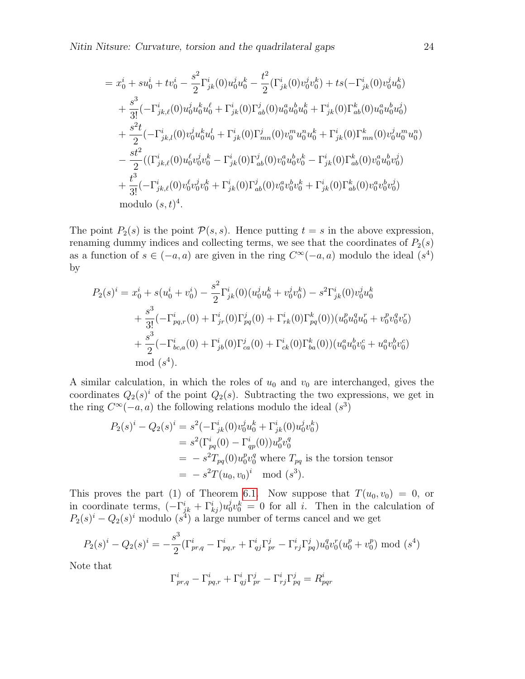$$
= x_0^i + su_0^i + tv_0^i - \frac{s^2}{2} \Gamma_{jk}^i(0) u_0^j u_0^k - \frac{t^2}{2} (\Gamma_{jk}^i(0) v_0^j v_0^k) + ts(-\Gamma_{jk}^i(0) v_0^j u_0^k) + \frac{s^3}{3!} (-\Gamma_{jk,\ell}^i(0) u_0^j u_0^k u_0^\ell + \Gamma_{jk}^i(0) \Gamma_{ab}^j(0) u_0^a u_0^b u_0^k + \Gamma_{jk}^i(0) \Gamma_{ab}^k(0) u_0^a u_0^b u_0^j) + \frac{s^2 t}{2} (-\Gamma_{jk,l}^i(0) v_0^j u_0^k u_0^l + \Gamma_{jk}^i(0) \Gamma_{mn}^j(0) v_0^m u_0^n u_0^k + \Gamma_{jk}^i(0) \Gamma_{mn}^k(0) v_0^j u_0^m u_0^n) - \frac{st^2}{2} ((\Gamma_{jk,\ell}^i(0) u_0^\ell v_0^j v_0^k - \Gamma_{jk}^i(0) \Gamma_{ab}^j(0) v_0^a u_0^b v_0^k - \Gamma_{jk}^i(0) \Gamma_{ab}^k(0) v_0^a u_0^b v_0^j) + \frac{t^3}{3!} (-\Gamma_{jk,\ell}^i(0) v_0^\ell v_0^j v_0^k + \Gamma_{jk}^i(0) \Gamma_{ab}^j(0) v_0^a v_0^b v_0^k + \Gamma_{jk}^i(0) \Gamma_{ab}^k(0) v_0^a v_0^b v_0^j) \n\text{modulo } (s, t)^4.
$$

The point  $P_2(s)$  is the point  $\mathcal{P}(s, s)$ . Hence putting  $t = s$  in the above expression, renaming dummy indices and collecting terms, we see that the coordinates of  $P_2(s)$ as a function of  $s \in (-a, a)$  are given in the ring  $C^{\infty}(-a, a)$  modulo the ideal  $(s^4)$ by

$$
P_2(s)^i = x_0^i + s(u_0^i + v_0^i) - \frac{s^2}{2} \Gamma_{jk}^i(0) (u_0^j u_0^k + v_0^j v_0^k) - s^2 \Gamma_{jk}^i(0) v_0^j u_0^k
$$
  
+ 
$$
\frac{s^3}{3!} (-\Gamma_{pq,r}^i(0) + \Gamma_{jr}^i(0) \Gamma_{pq}^j(0) + \Gamma_{rk}^i(0) \Gamma_{pq}^k(0)) (u_0^p u_0^q u_0^r + v_0^p v_0^q v_0^r)
$$
  
+ 
$$
\frac{s^3}{2} (-\Gamma_{bc,a}^i(0) + \Gamma_{jb}^i(0) \Gamma_{ca}^j(0) + \Gamma_{ck}^i(0) \Gamma_{ba}^k(0)) (u_0^a u_0^b v_0^c + u_0^a v_0^b v_0^c)
$$
  
mod  $(s^4)$ .

A similar calculation, in which the roles of  $u_0$  and  $v_0$  are interchanged, gives the coordinates  $Q_2(s)^i$  of the point  $Q_2(s)$ . Subtracting the two expressions, we get in the ring  $C^{\infty}(-a, a)$  the following relations modulo the ideal  $(s^3)$ 

$$
P_2(s)^i - Q_2(s)^i = s^2(-\Gamma^i_{jk}(0)v_0^j u_0^k + \Gamma^i_{jk}(0)u_0^j v_0^k)
$$
  
=  $s^2(\Gamma^i_{pq}(0) - \Gamma^i_{qp}(0))u_0^p v_0^q$   
=  $-s^2T_{pq}(0)u_0^pv_0^q$  where  $T_{pq}$  is the torsion tensor  
=  $-s^2T(u_0, v_0)^i$  mod  $(s^3)$ .

This proves the part (1) of Theorem [6.1.](#page-19-0) Now suppose that  $T(u_0, v_0) = 0$ , or in coordinate terms,  $\left(-\Gamma_{jk}^{i} + \Gamma_{kj}^{i}\right)u_0^j$  $\delta v_0^j v_0^k = 0$  for all i. Then in the calculation of  $P_2(s)^i - Q_2(s)^i$  modulo  $(s^4)$  a large number of terms cancel and we get

$$
P_2(s)^i - Q_2(s)^i = -\frac{s^3}{2} \left( \Gamma_{pr,q}^i - \Gamma_{pq,r}^i + \Gamma_{qj}^i \Gamma_{pr}^j - \Gamma_{rj}^i \Gamma_{pq}^j \right) u_0^q v_0^r (u_0^p + v_0^p) \text{ mod } (s^4)
$$

Note that

$$
\Gamma_{pr,q}^i - \Gamma_{pq,r}^i + \Gamma_{qj}^i \Gamma_{pr}^j - \Gamma_{rj}^i \Gamma_{pq}^j = R_{pqr}^i
$$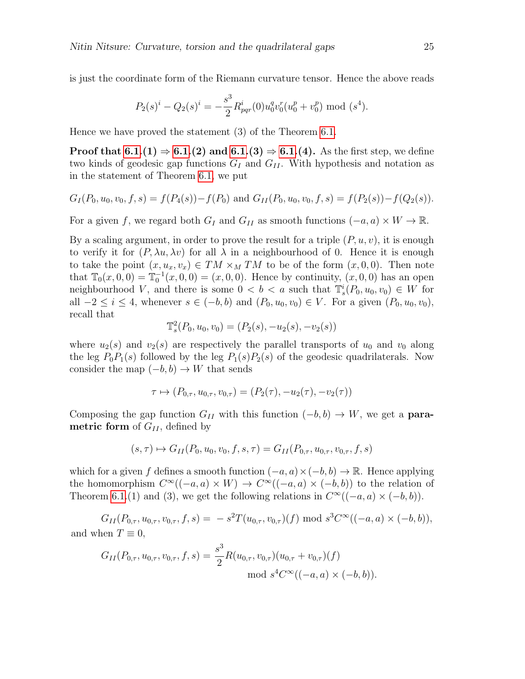is just the coordinate form of the Riemann curvature tensor. Hence the above reads

$$
P_2(s)^i - Q_2(s)^i = -\frac{s^3}{2} R_{pqr}^i(0) u_0^q v_0^r(u_0^p + v_0^p) \text{ mod } (s^4).
$$

Hence we have proved the statement (3) of the Theorem [6.1.](#page-19-0)

**Proof that [6.1.](#page-19-0)(1)**  $\Rightarrow$  **[6.1.](#page-19-0)(2)** and **6.1.(3)**  $\Rightarrow$  **6.1.(4)**. As the first step, we define two kinds of geodesic gap functions  $G_I$  and  $G_{II}$ . With hypothesis and notation as in the statement of Theorem [6.1,](#page-19-0) we put

$$
G_I(P_0, u_0, v_0, f, s) = f(P_4(s)) - f(P_0) \text{ and } G_{II}(P_0, u_0, v_0, f, s) = f(P_2(s)) - f(Q_2(s)).
$$

For a given f, we regard both  $G_I$  and  $G_{II}$  as smooth functions  $(-a, a) \times W \to \mathbb{R}$ .

By a scaling argument, in order to prove the result for a triple  $(P, u, v)$ , it is enough to verify it for  $(P, \lambda u, \lambda v)$  for all  $\lambda$  in a neighbourhood of 0. Hence it is enough to take the point  $(x, u_x, v_x) \in TM \times_M TM$  to be of the form  $(x, 0, 0)$ . Then note that  $\mathbb{T}_0(x, 0, 0) = \mathbb{T}_0^{-1}(x, 0, 0) = (x, 0, 0)$ . Hence by continuity,  $(x, 0, 0)$  has an open neighbourhood V, and there is some  $0 < b < a$  such that  $\mathbb{T}_s^i(P_0, u_0, v_0) \in W$  for all  $-2 \leq i \leq 4$ , whenever  $s \in (-b, b)$  and  $(P_0, u_0, v_0) \in V$ . For a given  $(P_0, u_0, v_0)$ , recall that

$$
\mathbb{T}^2_s(P_0, u_0, v_0) = (P_2(s), -u_2(s), -v_2(s))
$$

where  $u_2(s)$  and  $v_2(s)$  are respectively the parallel transports of  $u_0$  and  $v_0$  along the leg  $P_0P_1(s)$  followed by the leg  $P_1(s)P_2(s)$  of the geodesic quadrilaterals. Now consider the map  $(-b, b) \rightarrow W$  that sends

$$
\tau \mapsto (P_{0,\tau}, u_{0,\tau}, v_{0,\tau}) = (P_2(\tau), -u_2(\tau), -v_2(\tau))
$$

Composing the gap function  $G_{II}$  with this function  $(-b, b) \rightarrow W$ , we get a **para**metric form of  $G_{II}$ , defined by

$$
(s,\tau) \mapsto G_{II}(P_0, u_0, v_0, f, s, \tau) = G_{II}(P_{0,\tau}, u_{0,\tau}, v_{0,\tau}, f, s)
$$

which for a given f defines a smooth function  $(-a, a) \times (-b, b) \rightarrow \mathbb{R}$ . Hence applying the homomorphism  $C^{\infty}((-a,a) \times W) \rightarrow C^{\infty}((-a,a) \times (-b,b))$  to the relation of Theorem [6.1.](#page-19-0)(1) and (3), we get the following relations in  $C^{\infty}((-a, a) \times (-b, b))$ .

 $G_{II}(P_{0,\tau}, u_{0,\tau}, v_{0,\tau}, f, s) = -s^2 T(u_{0,\tau}, v_{0,\tau})(f) \text{ mod } s^3 C^\infty((-a, a) \times (-b, b)),$ and when  $T \equiv 0$ ,

$$
G_{II}(P_{0,\tau}, u_{0,\tau}, v_{0,\tau}, f, s) = \frac{s^3}{2} R(u_{0,\tau}, v_{0,\tau})(u_{0,\tau} + v_{0,\tau})(f)
$$
  
mod  $s^4 C^\infty((-a, a) \times (-b, b)).$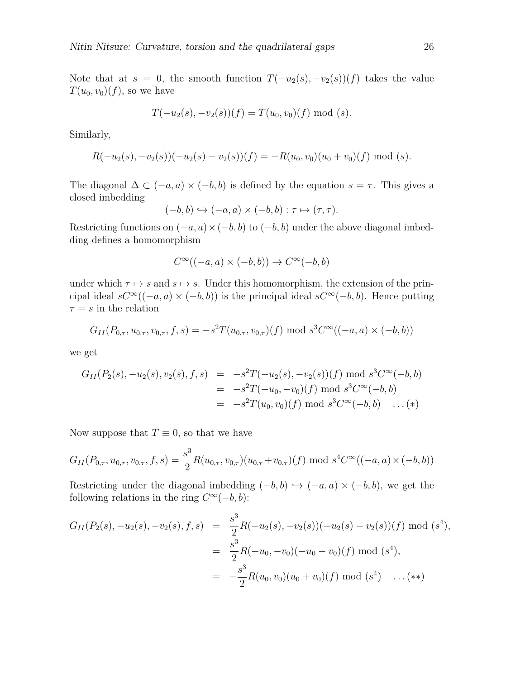Note that at s = 0, the smooth function  $T(-u_2(s), -v_2(s))(f)$  takes the value  $T(u_0, v_0)(f)$ , so we have

$$
T(-u_2(s), -v_2(s))(f) = T(u_0, v_0)(f) \text{ mod } (s).
$$

Similarly,

$$
R(-u_2(s), -v_2(s))(-u_2(s) - v_2(s))(f) = -R(u_0, v_0)(u_0 + v_0)(f) \mod (s).
$$

The diagonal  $\Delta \subset (-a, a) \times (-b, b)$  is defined by the equation  $s = \tau$ . This gives a closed imbedding

$$
(-b, b) \hookrightarrow (-a, a) \times (-b, b) : \tau \mapsto (\tau, \tau).
$$

Restricting functions on  $(-a, a) \times (-b, b)$  to  $(-b, b)$  under the above diagonal imbedding defines a homomorphism

$$
C^\infty((-a,a)\times (-b,b))\to C^\infty(-b,b)
$$

under which  $\tau \mapsto s$  and  $s \mapsto s$ . Under this homomorphism, the extension of the principal ideal  $sC^{\infty}((-a, a) \times (-b, b))$  is the principal ideal  $sC^{\infty}(-b, b)$ . Hence putting  $\tau = s$  in the relation

$$
G_{II}(P_{0,\tau}, u_{0,\tau}, v_{0,\tau}, f, s) = -s^2 T(u_{0,\tau}, v_{0,\tau})(f) \bmod s^3 C^\infty((-a, a) \times (-b, b))
$$

we get

$$
G_{II}(P_2(s), -u_2(s), v_2(s), f, s) = -s^2T(-u_2(s), -v_2(s))(f) \text{ mod } s^3C^{\infty}(-b, b)
$$
  
=  $-s^2T(-u_0, -v_0)(f) \text{ mod } s^3C^{\infty}(-b, b)$   
=  $-s^2T(u_0, v_0)(f) \text{ mod } s^3C^{\infty}(-b, b) \dots (*)$ 

Now suppose that  $T \equiv 0$ , so that we have

$$
G_{II}(P_{0,\tau}, u_{0,\tau}, v_{0,\tau}, f, s) = \frac{s^3}{2} R(u_{0,\tau}, v_{0,\tau})(u_{0,\tau} + v_{0,\tau})(f) \text{ mod } s^4 C^\infty((-a,a) \times (-b,b))
$$

Restricting under the diagonal imbedding  $(-b, b) \hookrightarrow (-a, a) \times (-b, b)$ , we get the following relations in the ring  $C^{\infty}(-b, b)$ :

$$
G_{II}(P_2(s), -u_2(s), -v_2(s), f, s) = \frac{s^3}{2}R(-u_2(s), -v_2(s))(-u_2(s) - v_2(s))(f) \text{ mod } (s^4),
$$
  

$$
= \frac{s^3}{2}R(-u_0, -v_0)(-u_0 - v_0)(f) \text{ mod } (s^4),
$$
  

$$
= -\frac{s^3}{2}R(u_0, v_0)(u_0 + v_0)(f) \text{ mod } (s^4) \dots (*)
$$